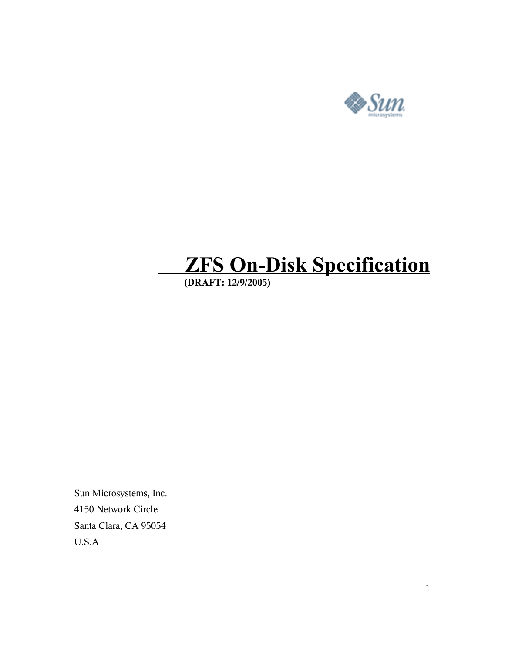

# **ZFS On-Disk Specification**

 **(DRAFT: 12/9/2005)**

Sun Microsystems, Inc. 4150 Network Circle Santa Clara, CA 95054 U.S.A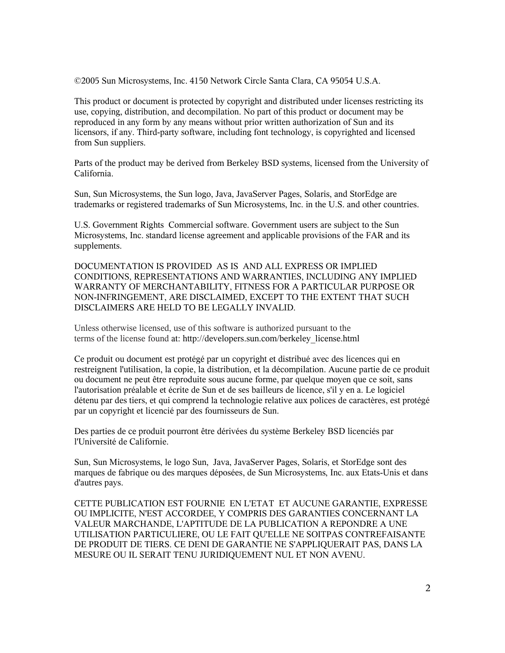©2005 Sun Microsystems, Inc. 4150 Network Circle Santa Clara, CA 95054 U.S.A.

This product or document is protected by copyright and distributed under licenses restricting its use, copying, distribution, and decompilation. No part of this product or document may be reproduced in any form by any means without prior written authorization of Sun and its licensors, if any. Third-party software, including font technology, is copyrighted and licensed from Sun suppliers.

Parts of the product may be derived from Berkeley BSD systems, licensed from the University of California.

Sun, Sun Microsystems, the Sun logo, Java, JavaServer Pages, Solaris, and StorEdge are trademarks or registered trademarks of Sun Microsystems, Inc. in the U.S. and other countries.

U.S. Government Rights Commercial software. Government users are subject to the Sun Microsystems, Inc. standard license agreement and applicable provisions of the FAR and its supplements.

DOCUMENTATION IS PROVIDED AS IS AND ALL EXPRESS OR IMPLIED CONDITIONS, REPRESENTATIONS AND WARRANTIES, INCLUDING ANY IMPLIED WARRANTY OF MERCHANTABILITY, FITNESS FOR A PARTICULAR PURPOSE OR NON-INFRINGEMENT, ARE DISCLAIMED, EXCEPT TO THE EXTENT THAT SUCH DISCLAIMERS ARE HELD TO BE LEGALLY INVALID.

Unless otherwise licensed, use of this software is authorized pursuant to the terms of the license found at: http://developers.sun.com/berkeley\_license.html

Ce produit ou document est protégé par un copyright et distribué avec des licences qui en restreignent l'utilisation, la copie, la distribution, et la décompilation. Aucune partie de ce produit ou document ne peut être reproduite sous aucune forme, par quelque moyen que ce soit, sans l'autorisation préalable et écrite de Sun et de ses bailleurs de licence, s'il y en a. Le logiciel détenu par des tiers, et qui comprend la technologie relative aux polices de caractères, est protégé par un copyright et licencié par des fournisseurs de Sun.

Des parties de ce produit pourront être dérivées du système Berkeley BSD licenciés par l'Université de Californie.

Sun, Sun Microsystems, le logo Sun, Java, JavaServer Pages, Solaris, et StorEdge sont des marques de fabrique ou des marques déposées, de Sun Microsystems, Inc. aux Etats-Unis et dans d'autres pays.

CETTE PUBLICATION EST FOURNIE EN L'ETAT ET AUCUNE GARANTIE, EXPRESSE OU IMPLICITE, N'EST ACCORDEE, Y COMPRIS DES GARANTIES CONCERNANT LA VALEUR MARCHANDE, L'APTITUDE DE LA PUBLICATION A REPONDRE A UNE UTILISATION PARTICULIERE, OU LE FAIT QU'ELLE NE SOITPAS CONTREFAISANTE DE PRODUIT DE TIERS. CE DENI DE GARANTIE NE S'APPLIQUERAIT PAS, DANS LA MESURE OU IL SERAIT TENU JURIDIQUEMENT NUL ET NON AVENU.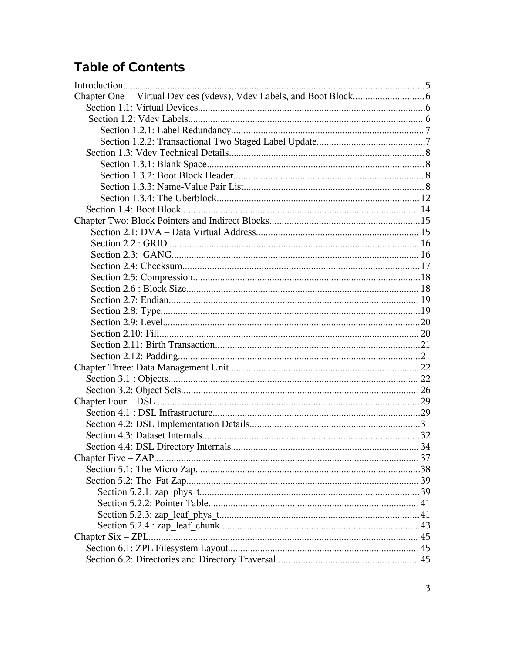# **Table of Contents**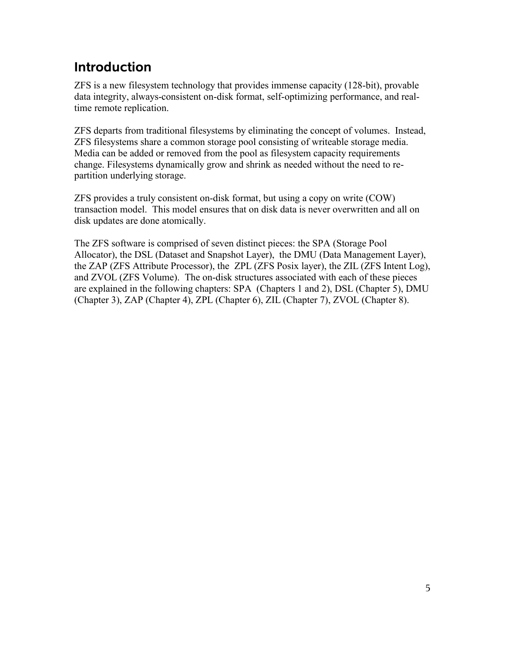# **Introduction**

ZFS is a new filesystem technology that provides immense capacity (128-bit), provable data integrity, always-consistent on-disk format, self-optimizing performance, and realtime remote replication.

ZFS departs from traditional filesystems by eliminating the concept of volumes. Instead, ZFS filesystems share a common storage pool consisting of writeable storage media. Media can be added or removed from the pool as filesystem capacity requirements change. Filesystems dynamically grow and shrink as needed without the need to repartition underlying storage.

ZFS provides a truly consistent on-disk format, but using a copy on write (COW) transaction model. This model ensures that on disk data is never overwritten and all on disk updates are done atomically.

The ZFS software is comprised of seven distinct pieces: the SPA (Storage Pool Allocator), the DSL (Dataset and Snapshot Layer), the DMU (Data Management Layer), the ZAP (ZFS Attribute Processor), the ZPL (ZFS Posix layer), the ZIL (ZFS Intent Log), and ZVOL (ZFS Volume). The on-disk structures associated with each of these pieces are explained in the following chapters: SPA (Chapters 1 and 2), DSL (Chapter 5), DMU (Chapter 3), ZAP (Chapter 4), ZPL (Chapter 6), ZIL (Chapter 7), ZVOL (Chapter 8).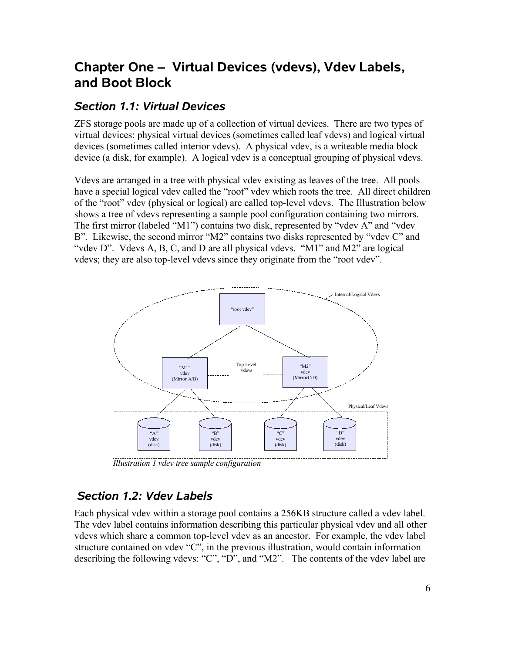# **Chapter One – Virtual Devices (vdevs), Vdev Labels, and Boot Block**

# *Section 1.1: Virtual Devices*

ZFS storage pools are made up of a collection of virtual devices. There are two types of virtual devices: physical virtual devices (sometimes called leaf vdevs) and logical virtual devices (sometimes called interior vdevs). A physical vdev, is a writeable media block device (a disk, for example). A logical vdev is a conceptual grouping of physical vdevs.

Vdevs are arranged in a tree with physical vdev existing as leaves of the tree. All pools have a special logical vdev called the "root" vdev which roots the tree. All direct children of the "root" vdev (physical or logical) are called top-level vdevs. The Illustration below shows a tree of vdevs representing a sample pool configuration containing two mirrors. The first mirror (labeled "M1") contains two disk, represented by "vdev A" and "vdev B". Likewise, the second mirror "M2" contains two disks represented by "vdev C" and "vdev D". Vdevs A, B, C, and D are all physical vdevs. "M1" and M2" are logical vdevs; they are also top-level vdevs since they originate from the "root vdev".



*Illustration 1 vdev tree sample configuration*

# *Section 1.2: Vdev Labels*

Each physical vdev within a storage pool contains a 256KB structure called a vdev label. The vdev label contains information describing this particular physical vdev and all other vdevs which share a common top-level vdev as an ancestor. For example, the vdev label structure contained on vdev "C", in the previous illustration, would contain information describing the following vdevs: "C", "D", and "M2". The contents of the vdev label are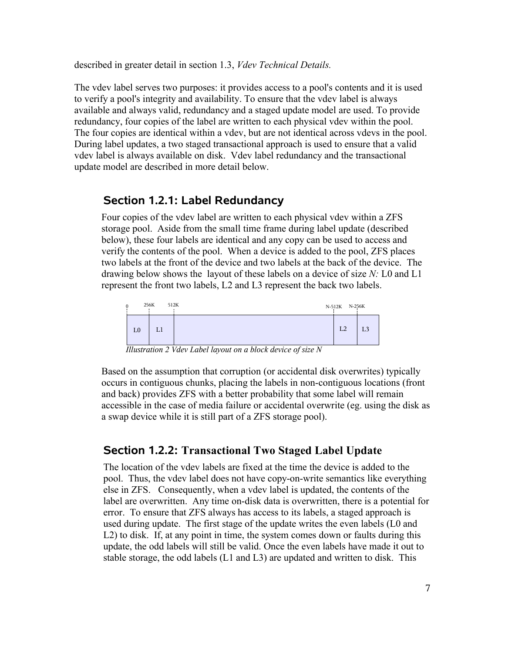described in greater detail in section 1.3, *Vdev Technical Details.*

The vdev label serves two purposes: it provides access to a pool's contents and it is used to verify a pool's integrity and availability. To ensure that the vdev label is always available and always valid, redundancy and a staged update model are used. To provide redundancy, four copies of the label are written to each physical vdev within the pool. The four copies are identical within a vdev, but are not identical across vdevs in the pool. During label updates, a two staged transactional approach is used to ensure that a valid vdev label is always available on disk. Vdev label redundancy and the transactional update model are described in more detail below.

### **Section 1.2.1: Label Redundancy**

Four copies of the vdev label are written to each physical vdev within a ZFS storage pool. Aside from the small time frame during label update (described below), these four labels are identical and any copy can be used to access and verify the contents of the pool. When a device is added to the pool, ZFS places two labels at the front of the device and two labels at the back of the device. The drawing below shows the layout of these labels on a device of size *N:* L0 and L1 represent the front two labels, L2 and L3 represent the back two labels.



*Illustration 2 Vdev Label layout on a block device of size N*

Based on the assumption that corruption (or accidental disk overwrites) typically occurs in contiguous chunks, placing the labels in non-contiguous locations (front and back) provides ZFS with a better probability that some label will remain accessible in the case of media failure or accidental overwrite (eg. using the disk as a swap device while it is still part of a ZFS storage pool).

### **Section 1.2.2: Transactional Two Staged Label Update**

The location of the vdev labels are fixed at the time the device is added to the pool. Thus, the vdev label does not have copy-on-write semantics like everything else in ZFS. Consequently, when a vdev label is updated, the contents of the label are overwritten. Any time on-disk data is overwritten, there is a potential for error. To ensure that ZFS always has access to its labels, a staged approach is used during update. The first stage of the update writes the even labels (L0 and L2) to disk. If, at any point in time, the system comes down or faults during this update, the odd labels will still be valid. Once the even labels have made it out to stable storage, the odd labels (L1 and L3) are updated and written to disk. This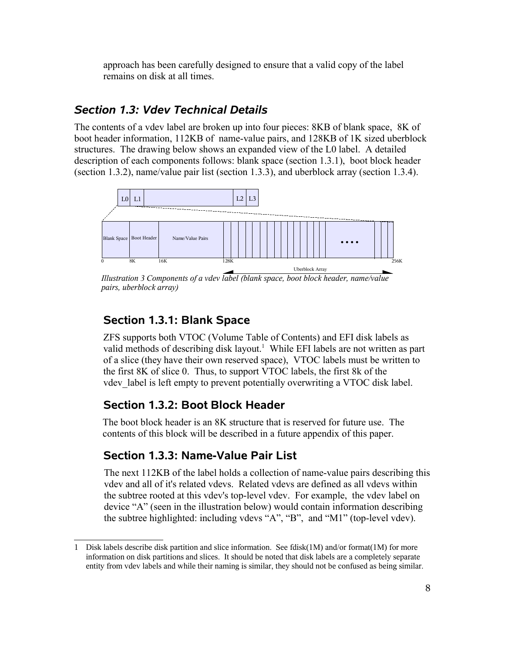approach has been carefully designed to ensure that a valid copy of the label remains on disk at all times.

# *Section 1.3: Vdev Technical Details*

The contents of a vdev label are broken up into four pieces: 8KB of blank space, 8K of boot header information, 112KB of name-value pairs, and 128KB of 1K sized uberblock structures. The drawing below shows an expanded view of the L0 label. A detailed description of each components follows: blank space (section 1.3.1), boot block header (section 1.3.2), name/value pair list (section 1.3.3), and uberblock array (section 1.3.4).



*Illustration 3 Components of a vdev label (blank space, boot block header, name/value pairs, uberblock array)*

# **Section 1.3.1: Blank Space**

ZFS supports both VTOC (Volume Table of Contents) and EFI disk labels as valid methods of describing disk layout. 1 While EFI labels are not written as part of a slice (they have their own reserved space), VTOC labels must be written to the first 8K of slice 0. Thus, to support VTOC labels, the first 8k of the vdev label is left empty to prevent potentially overwriting a VTOC disk label.

# **Section 1.3.2: Boot Block Header**

The boot block header is an 8K structure that is reserved for future use. The contents of this block will be described in a future appendix of this paper.

# **Section 1.3.3: Name-Value Pair List**

The next 112KB of the label holds a collection of name-value pairs describing this vdev and all of it's related vdevs. Related vdevs are defined as all vdevs within the subtree rooted at this vdev's top-level vdev. For example, the vdev label on device "A" (seen in the illustration below) would contain information describing the subtree highlighted: including vdevs "A", "B", and "M1" (top-level vdev).

<sup>1</sup> Disk labels describe disk partition and slice information. See fdisk(1M) and/or format(1M) for more information on disk partitions and slices. It should be noted that disk labels are a completely separate entity from vdev labels and while their naming is similar, they should not be confused as being similar.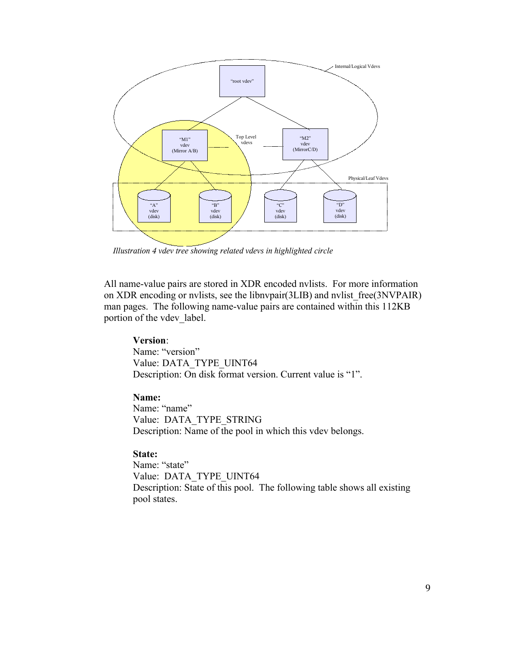

*Illustration 4 vdev tree showing related vdevs in highlighted circle*

All name-value pairs are stored in XDR encoded nvlists. For more information on XDR encoding or nvlists, see the libnvpair(3LIB) and nvlist\_free(3NVPAIR) man pages. The following name-value pairs are contained within this 112KB portion of the vdev label.

#### **Version**:

Name: "version" Value: DATA\_TYPE\_UINT64 Description: On disk format version. Current value is "1".

#### **Name:**

Name: "name" Value: DATA\_TYPE\_STRING Description: Name of the pool in which this vdev belongs.

#### **State:**

Name: "state" Value: DATA\_TYPE\_UINT64 Description: State of this pool. The following table shows all existing pool states.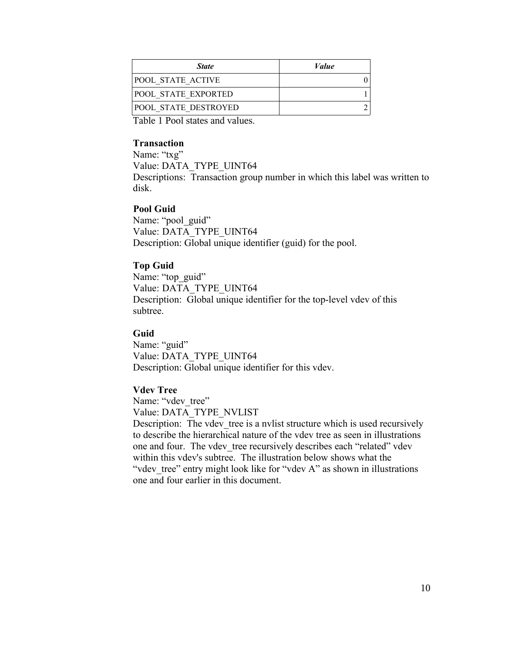| <b>State</b>                | <i>Value</i> |
|-----------------------------|--------------|
| <b>POOL STATE ACTIVE</b>    |              |
| <b>POOL STATE EXPORTED</b>  |              |
| <b>POOL STATE DESTROYED</b> |              |

Table 1 Pool states and values.

#### **Transaction**

Name: "txg" Value: DATA\_TYPE\_UINT64 Descriptions: Transaction group number in which this label was written to disk.

#### **Pool Guid**

Name: "pool\_guid" Value: DATA\_TYPE\_UINT64 Description: Global unique identifier (guid) for the pool.

### **Top Guid**

Name: "top\_guid" Value: DATA\_TYPE\_UINT64 Description: Global unique identifier for the top-level vdev of this subtree.

### **Guid**

Name: "guid" Value: DATA\_TYPE\_UINT64 Description: Global unique identifier for this vdev.

### **Vdev Tree**

Name: "vdev tree" Value: DATA\_TYPE\_NVLIST

Description: The vdev tree is a nvlist structure which is used recursively to describe the hierarchical nature of the vdev tree as seen in illustrations one and four. The vdev tree recursively describes each "related" vdev within this vdev's subtree. The illustration below shows what the "vdev tree" entry might look like for "vdev A" as shown in illustrations one and four earlier in this document.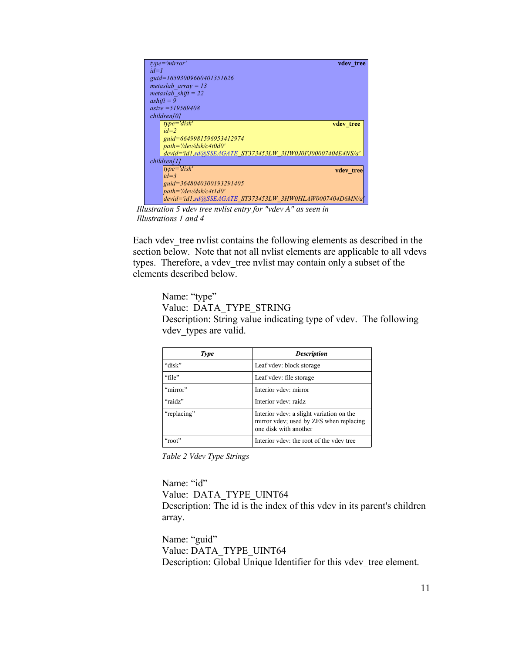| $type = 'mirror'$<br>vdev tree                            |
|-----------------------------------------------------------|
| $id=1$                                                    |
| guid=16593009660401351626                                 |
| metaslab array = $13$                                     |
| metaslab shift = $22$                                     |
| $ashiff = 9$                                              |
| $asize = 519569408$                                       |
| children[0]                                               |
| $type = 'disk'$<br>vdev tree                              |
| $id=2$                                                    |
| guid=6649981596953412974                                  |
| path='/dev/dsk/c4t0d0'                                    |
| devid='id1,sd@SSEAGATE_ST373453LW_3HW0J0FJ00007404E4NS/a' |
| children[1]                                               |
| $ type=$ 'disk'<br>vdev tree                              |
| $id = 3$                                                  |
| guid=3648040300193291405                                  |
| $path='/dev/dsk/c4t1d0'$                                  |
| devid='id1,sd@SSEAGATE_ST373453LW_3HW0HLAW0007404D6MN/a   |

*Illustration 5 vdev tree nvlist entry for "vdev A" as seen in Illustrations 1 and 4* 

Each vdev tree nvlist contains the following elements as described in the section below. Note that not all nvlist elements are applicable to all vdevs types. Therefore, a vdev\_tree nvlist may contain only a subset of the elements described below.

Name: "type" Value: DATA\_TYPE\_STRING Description: String value indicating type of vdev. The following vdev types are valid.

| <b>Type</b> | <b>Description</b>                                                                                           |
|-------------|--------------------------------------------------------------------------------------------------------------|
| "disk"      | Leaf vdev: block storage                                                                                     |
| "file"      | Leaf vdev: file storage                                                                                      |
| "mirror"    | Interior vdev: mirror                                                                                        |
| "raidz"     | Interior vdev: raidz                                                                                         |
| "replacing" | Interior vdev: a slight variation on the<br>mirror vdev; used by ZFS when replacing<br>one disk with another |
| " $root"$   | Interior vdev: the root of the vdev tree                                                                     |

*Table 2 Vdev Type Strings*

Name: "id" Value: DATA\_TYPE\_UINT64 Description: The id is the index of this vdev in its parent's children array.

Name: "guid" Value: DATA\_TYPE\_UINT64 Description: Global Unique Identifier for this vdev tree element.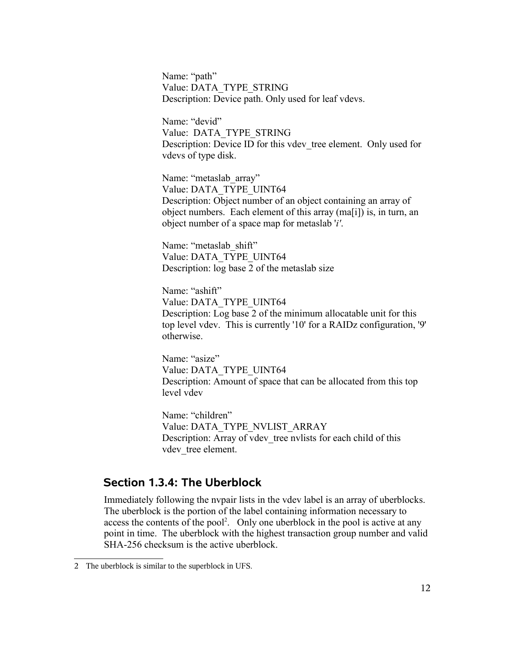Name: "path" Value: DATA\_TYPE\_STRING Description: Device path. Only used for leaf vdevs.

Name: "devid" Value: DATA\_TYPE\_STRING Description: Device ID for this vdev tree element. Only used for vdevs of type disk.

Name: "metaslab\_array" Value: DATA\_TYPE\_UINT64 Description: Object number of an object containing an array of object numbers. Each element of this array (ma[i]) is, in turn, an object number of a space map for metaslab '*i'*.

Name: "metaslab\_shift" Value: DATA\_TYPE\_UINT64 Description: log base 2 of the metaslab size

Name: "ashift" Value: DATA\_TYPE\_UINT64 Description: Log base 2 of the minimum allocatable unit for this top level vdev. This is currently '10' for a RAIDz configuration, '9' otherwise.

Name: "asize" Value: DATA\_TYPE\_UINT64 Description: Amount of space that can be allocated from this top level vdev

Name: "children" Value: DATA\_TYPE\_NVLIST\_ARRAY Description: Array of vdev tree nvlists for each child of this vdev tree element.

## **Section 1.3.4: The Uberblock**

Immediately following the nvpair lists in the vdev label is an array of uberblocks. The uberblock is the portion of the label containing information necessary to access the contents of the pool<sup>2</sup>. Only one uberblock in the pool is active at any point in time. The uberblock with the highest transaction group number and valid SHA-256 checksum is the active uberblock.

<sup>2</sup> The uberblock is similar to the superblock in UFS.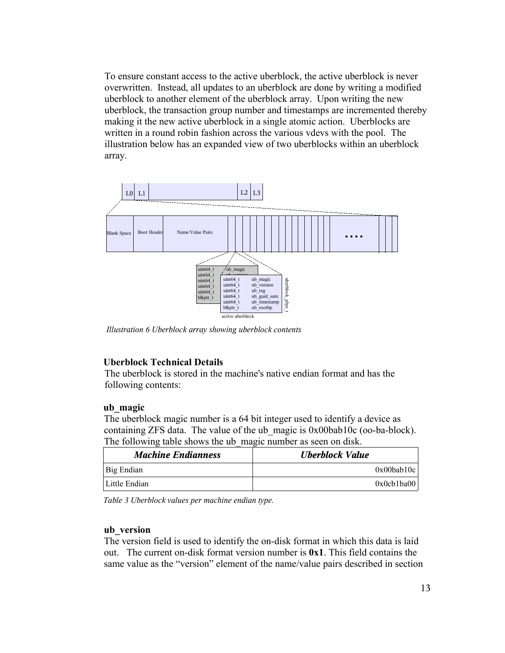To ensure constant access to the active uberblock, the active uberblock is never overwritten. Instead, all updates to an uberblock are done by writing a modified uberblock to another element of the uberblock array. Upon writing the new uberblock, the transaction group number and timestamps are incremented thereby making it the new active uberblock in a single atomic action. Uberblocks are written in a round robin fashion across the various vdevs with the pool. The illustration below has an expanded view of two uberblocks within an uberblock array.



*Illustration 6 Uberblock array showing uberblock contents*

#### **Uberblock Technical Details**

The uberblock is stored in the machine's native endian format and has the following contents:

#### **ub\_magic**

The uberblock magic number is a 64 bit integer used to identify a device as containing ZFS data. The value of the ub\_magic is 0x00bab10c (oo-ba-block). The following table shows the ub magic number as seen on disk.

| <b>Machine Endianness</b> | Uberblock Value  |
|---------------------------|------------------|
| Big Endian                | $0x00$ bab $10c$ |
| Little Endian             | 0x0cb1ba00       |

*Table 3 Uberblock values per machine endian type.*

#### **ub\_version**

The version field is used to identify the on-disk format in which this data is laid out. The current on-disk format version number is **0x1**. This field contains the same value as the "version" element of the name/value pairs described in section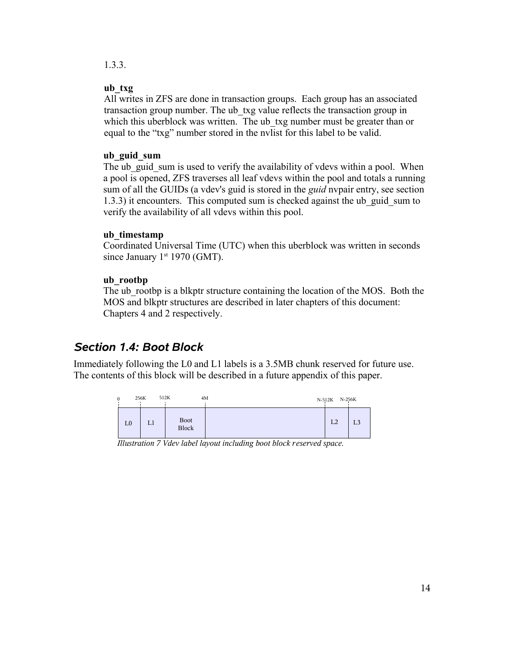### 1.3.3.

#### **ub\_txg**

All writes in ZFS are done in transaction groups. Each group has an associated transaction group number. The ub\_txg value reflects the transaction group in which this uberblock was written. The ub txg number must be greater than or equal to the "txg" number stored in the nvlist for this label to be valid.

#### **ub\_guid\_sum**

The ub guid sum is used to verify the availability of vdevs within a pool. When a pool is opened, ZFS traverses all leaf vdevs within the pool and totals a running sum of all the GUIDs (a vdev's guid is stored in the *guid* nvpair entry, see section 1.3.3) it encounters. This computed sum is checked against the ub\_guid\_sum to verify the availability of all vdevs within this pool.

#### **ub\_timestamp**

Coordinated Universal Time (UTC) when this uberblock was written in seconds since January  $1<sup>st</sup> 1970$  (GMT).

#### **ub\_rootbp**

The ub rootbp is a blkptr structure containing the location of the MOS. Both the MOS and blkptr structures are described in later chapters of this document: Chapters 4 and 2 respectively.

# *Section 1.4: Boot Block*

Immediately following the L0 and L1 labels is a 3.5MB chunk reserved for future use. The contents of this block will be described in a future appendix of this paper.



*Illustration 7 Vdev label layout including boot block reserved space.*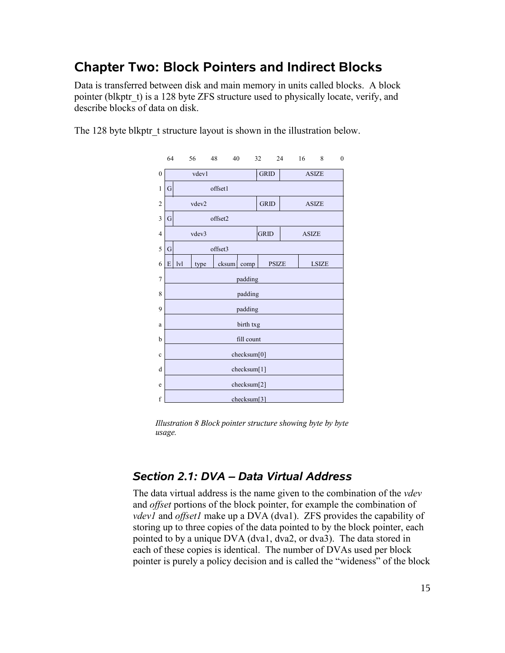# **Chapter Two: Block Pointers and Indirect Blocks**

Data is transferred between disk and main memory in units called blocks. A block pointer (blkptr t) is a 128 byte ZFS structure used to physically locate, verify, and describe blocks of data on disk.

The 128 byte blkptr t structure layout is shown in the illustration below.



*Illustration 8 Block pointer structure showing byte by byte usage.*

# *Section 2.1: DVA – Data Virtual Address*

The data virtual address is the name given to the combination of the *vdev* and *offset* portions of the block pointer, for example the combination of *vdev1* and *offset1* make up a DVA (dva1). ZFS provides the capability of storing up to three copies of the data pointed to by the block pointer, each pointed to by a unique DVA (dva1, dva2, or dva3). The data stored in each of these copies is identical. The number of DVAs used per block pointer is purely a policy decision and is called the "wideness" of the block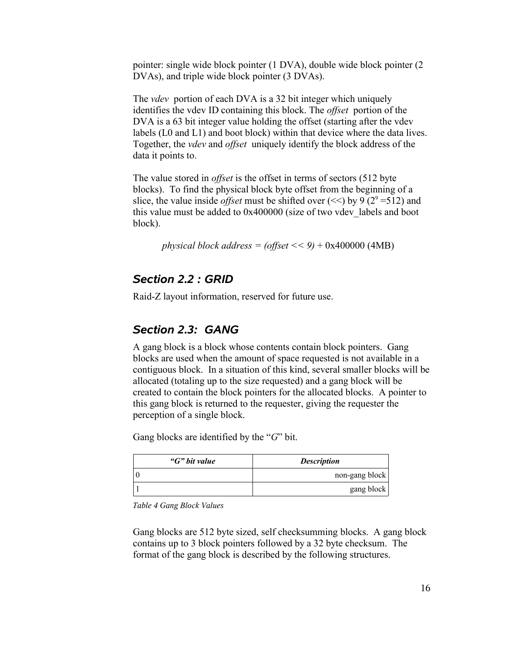pointer: single wide block pointer (1 DVA), double wide block pointer (2 DVAs), and triple wide block pointer (3 DVAs).

The *vdev* portion of each DVA is a 32 bit integer which uniquely identifies the vdev ID containing this block. The *offset* portion of the DVA is a 63 bit integer value holding the offset (starting after the vdev labels (L0 and L1) and boot block) within that device where the data lives. Together, the *vdev* and *offset* uniquely identify the block address of the data it points to.

The value stored in *offset* is the offset in terms of sectors (512 byte blocks). To find the physical block byte offset from the beginning of a slice, the value inside *offset* must be shifted over  $\ll$  by 9 (2<sup>9</sup> = 512) and this value must be added to 0x400000 (size of two vdev\_labels and boot block).

*physical block address = (offset << 9)* + 0x400000 (4MB)

### *Section 2.2 : GRID*

Raid-Z layout information, reserved for future use.

# *Section 2.3: GANG*

A gang block is a block whose contents contain block pointers. Gang blocks are used when the amount of space requested is not available in a contiguous block. In a situation of this kind, several smaller blocks will be allocated (totaling up to the size requested) and a gang block will be created to contain the block pointers for the allocated blocks. A pointer to this gang block is returned to the requester, giving the requester the perception of a single block.

Gang blocks are identified by the "*G*" bit.

| "G" bit value | <b>Description</b> |
|---------------|--------------------|
|               | non-gang block     |
|               | gang block         |

*Table 4 Gang Block Values*

Gang blocks are 512 byte sized, self checksumming blocks. A gang block contains up to 3 block pointers followed by a 32 byte checksum. The format of the gang block is described by the following structures.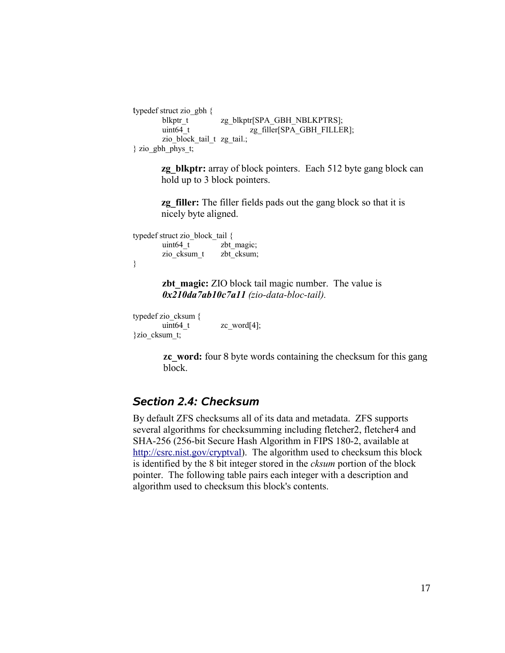```
typedef struct zio_gbh {
      blkptr_t zg_blkptr[SPA_GBH_NBLKPTRS];
      uint64_t zg_filler[SPA_GBH_FILLER];
      zio_block_tail_t zg_tail.;
} zio_gbh_phys_t;
```
**zg** blkptr: array of block pointers. Each 512 byte gang block can hold up to 3 block pointers.

**zg** filler: The filler fields pads out the gang block so that it is nicely byte aligned.

typedef struct zio\_block\_tail { uint64 t zbt magic; zio cksum t zbt cksum; }

> **zbt** magic: **ZIO** block tail magic number. The value is *0x210da7ab10c7a11 (zio-data-bloc-tail).*

```
typedef zio_cksum {
       uint64_t zc_word[4];
}zio_cksum_t;
```
**zc** word: four 8 byte words containing the checksum for this gang block.

## *Section 2.4: Checksum*

By default ZFS checksums all of its data and metadata. ZFS supports several algorithms for checksumming including fletcher2, fletcher4 and SHA-256 (256-bit Secure Hash Algorithm in FIPS 180-2, available at http://csrc.nist.gov/cryptval). The algorithm used to checksum this block is identified by the 8 bit integer stored in the *cksum* portion of the block pointer. The following table pairs each integer with a description and algorithm used to checksum this block's contents.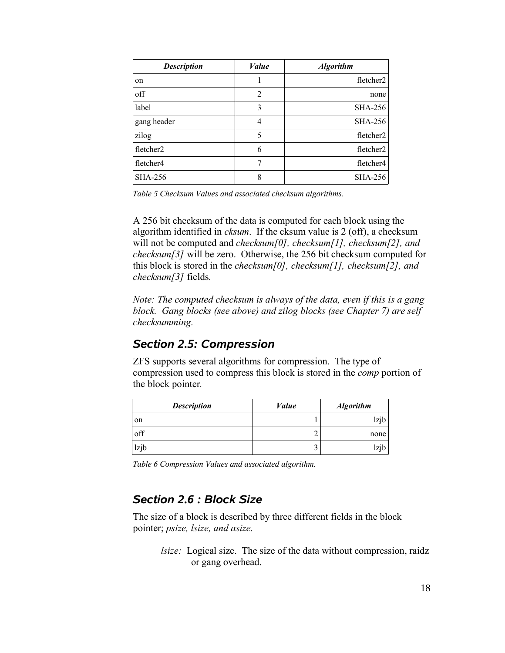| <b>Description</b> | Value | <b>Algorithm</b> |
|--------------------|-------|------------------|
| on                 |       | fletcher2        |
| off                | 2     | none             |
| label              | 3     | <b>SHA-256</b>   |
| gang header        | 4     | <b>SHA-256</b>   |
| zilog              | 5     | fletcher2        |
| fletcher2          | 6     | fletcher2        |
| fletcher4          |       | fletcher4        |
| <b>SHA-256</b>     | 8     | <b>SHA-256</b>   |

*Table 5 Checksum Values and associated checksum algorithms.*

A 256 bit checksum of the data is computed for each block using the algorithm identified in *cksum*. If the cksum value is 2 (off), a checksum will not be computed and *checksum[0], checksum[1], checksum[2], and checksum[3]* will be zero. Otherwise, the 256 bit checksum computed for this block is stored in the *checksum[0], checksum[1], checksum[2], and checksum[3]* fields*.*

*Note: The computed checksum is always of the data, even if this is a gang block. Gang blocks (see above) and zilog blocks (see Chapter 7) are self checksumming.*

# *Section 2.5: Compression*

ZFS supports several algorithms for compression. The type of compression used to compress this block is stored in the *comp* portion of the block pointer*.*

| <b>Description</b> | Value | <b>Algorithm</b> |
|--------------------|-------|------------------|
| on                 |       | lzjb             |
| off                | ∸     | none             |
| lzjb               | ┘     | lzjb             |

*Table 6 Compression Values and associated algorithm.*

# *Section 2.6 : Block Size*

The size of a block is described by three different fields in the block pointer; *psize, lsize, and asize.*

*lsize:* Logical size. The size of the data without compression, raidz or gang overhead.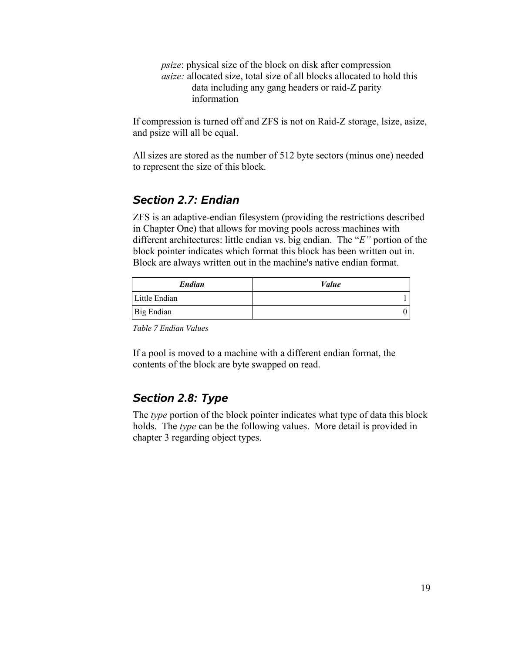*psize*: physical size of the block on disk after compression *asize:* allocated size, total size of all blocks allocated to hold this data including any gang headers or raid-Z parity information

If compression is turned off and ZFS is not on Raid-Z storage, lsize, asize, and psize will all be equal.

All sizes are stored as the number of 512 byte sectors (minus one) needed to represent the size of this block.

# *Section 2.7: Endian*

ZFS is an adaptive-endian filesystem (providing the restrictions described in Chapter One) that allows for moving pools across machines with different architectures: little endian vs. big endian. The "*E"* portion of the block pointer indicates which format this block has been written out in. Block are always written out in the machine's native endian format.

| Endian        | Value |
|---------------|-------|
| Little Endian |       |
| Big Endian    |       |

*Table 7 Endian Values*

If a pool is moved to a machine with a different endian format, the contents of the block are byte swapped on read.

# *Section 2.8: Type*

The *type* portion of the block pointer indicates what type of data this block holds. The *type* can be the following values. More detail is provided in chapter 3 regarding object types.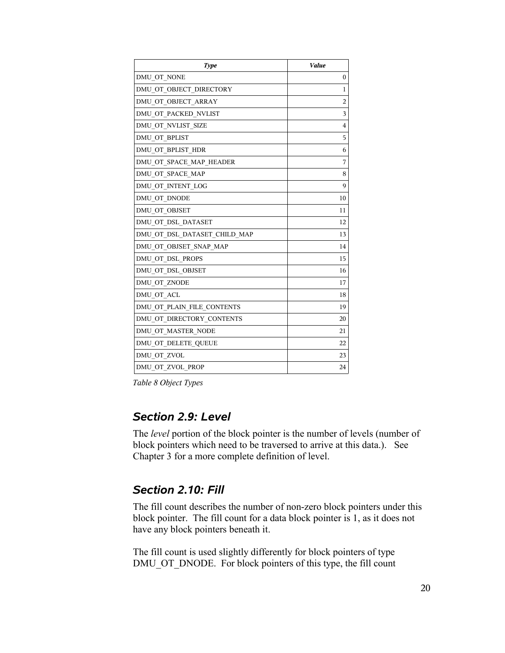| <b>Type</b>                  | Value          |
|------------------------------|----------------|
| DMU OT NONE                  | $\mathbf{0}$   |
| DMU OT OBJECT DIRECTORY      | 1              |
| DMU OT OBJECT ARRAY          | $\overline{c}$ |
| DMU OT PACKED NVLIST         | 3              |
| DMU OT NVLIST SIZE           | 4              |
| DMU OT BPLIST                | 5              |
| DMU_OT_BPLIST_HDR            | 6              |
| DMU OT SPACE MAP HEADER      | 7              |
| DMU OT SPACE MAP             | 8              |
| DMU OT INTENT LOG            | 9              |
| DMU OT DNODE                 | 10             |
| DMU OT OBJSET                | 11             |
| DMU OT DSL DATASET           | 12             |
| DMU OT DSL DATASET CHILD MAP | 13             |
| DMU OT OBJSET SNAP MAP       | 14             |
| DMU OT DSL PROPS             | 15             |
| DMU OT DSL OBJSET            | 16             |
| DMU OT ZNODE                 | 17             |
| DMU OT ACL                   | 18             |
| DMU OT PLAIN FILE CONTENTS   | 19             |
| DMU OT DIRECTORY CONTENTS    | 20             |
| DMU OT MASTER NODE           | 21             |
| DMU OT DELETE QUEUE          | 22             |
| DMU OT ZVOL                  | 23             |
| DMU OT ZVOL PROP             | 24             |

*Table 8 Object Types*

# *Section 2.9: Level*

The *level* portion of the block pointer is the number of levels (number of block pointers which need to be traversed to arrive at this data.). See Chapter 3 for a more complete definition of level.

# *Section 2.10: Fill*

The fill count describes the number of non-zero block pointers under this block pointer. The fill count for a data block pointer is 1, as it does not have any block pointers beneath it.

The fill count is used slightly differently for block pointers of type DMU\_OT\_DNODE. For block pointers of this type, the fill count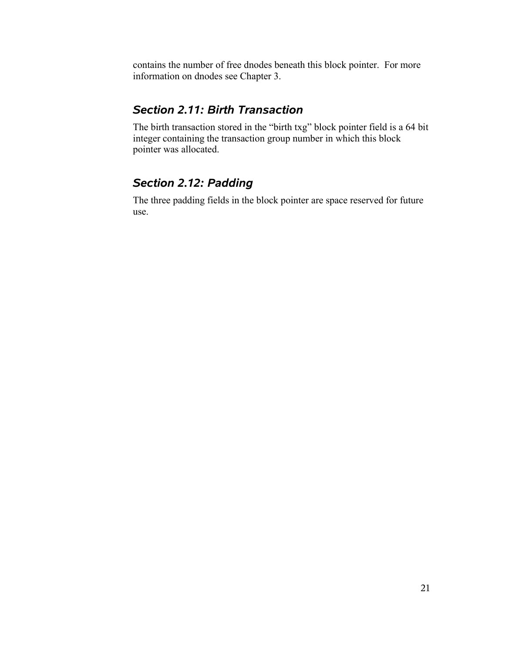contains the number of free dnodes beneath this block pointer. For more information on dnodes see Chapter 3.

# *Section 2.11: Birth Transaction*

The birth transaction stored in the "birth txg" block pointer field is a 64 bit integer containing the transaction group number in which this block pointer was allocated.

# *Section 2.12: Padding*

The three padding fields in the block pointer are space reserved for future use.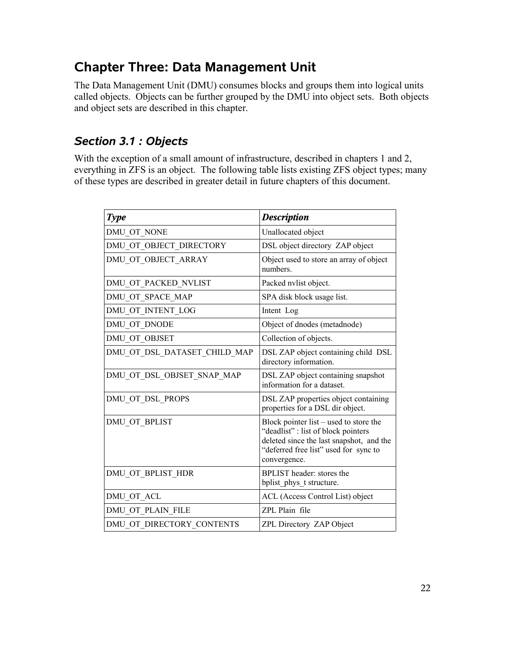# **Chapter Three: Data Management Unit**

The Data Management Unit (DMU) consumes blocks and groups them into logical units called objects. Objects can be further grouped by the DMU into object sets. Both objects and object sets are described in this chapter.

# *Section 3.1 : Objects*

With the exception of a small amount of infrastructure, described in chapters 1 and 2, everything in ZFS is an object. The following table lists existing ZFS object types; many of these types are described in greater detail in future chapters of this document.

| <b>Type</b>                  | <b>Description</b>                                                                                                                                                                |
|------------------------------|-----------------------------------------------------------------------------------------------------------------------------------------------------------------------------------|
| DMU OT NONE                  | Unallocated object                                                                                                                                                                |
| DMU OT OBJECT DIRECTORY      | DSL object directory ZAP object                                                                                                                                                   |
| DMU OT OBJECT ARRAY          | Object used to store an array of object<br>numbers.                                                                                                                               |
| DMU OT PACKED NVLIST         | Packed nvlist object.                                                                                                                                                             |
| DMU OT SPACE MAP             | SPA disk block usage list.                                                                                                                                                        |
| DMU OT INTENT LOG            | Intent Log                                                                                                                                                                        |
| DMU_OT_DNODE                 | Object of dnodes (metadnode)                                                                                                                                                      |
| DMU OT OBJSET                | Collection of objects.                                                                                                                                                            |
| DMU OT DSL DATASET CHILD MAP | DSL ZAP object containing child DSL<br>directory information.                                                                                                                     |
| DMU OT DSL OBJSET SNAP MAP   | DSL ZAP object containing snapshot<br>information for a dataset.                                                                                                                  |
| DMU OT DSL PROPS             | DSL ZAP properties object containing<br>properties for a DSL dir object.                                                                                                          |
| DMU_OT_BPLIST                | Block pointer list – used to store the<br>"deadlist": list of block pointers<br>deleted since the last snapshot, and the<br>"deferred free list" used for sync to<br>convergence. |
| DMU OT BPLIST HDR            | BPLIST header: stores the<br>bplist phys t structure.                                                                                                                             |
| DMU OT ACL                   | ACL (Access Control List) object                                                                                                                                                  |
| DMU_OT_PLAIN FILE            | ZPL Plain file                                                                                                                                                                    |
| DMU OT DIRECTORY CONTENTS    | ZPL Directory ZAP Object                                                                                                                                                          |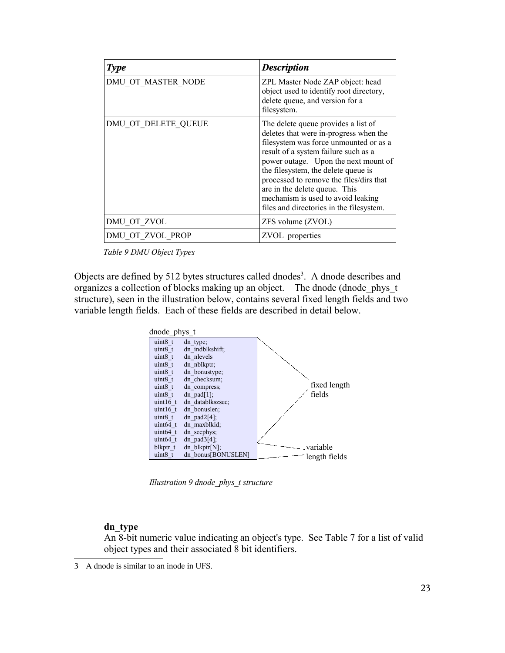| <b>Type</b>         | <b>Description</b>                                                                                                                                                                                                                                                                                                                                                                                           |
|---------------------|--------------------------------------------------------------------------------------------------------------------------------------------------------------------------------------------------------------------------------------------------------------------------------------------------------------------------------------------------------------------------------------------------------------|
| DMU OT MASTER NODE  | ZPL Master Node ZAP object: head<br>object used to identify root directory,<br>delete queue, and version for a<br>filesystem.                                                                                                                                                                                                                                                                                |
| DMU OT DELETE QUEUE | The delete queue provides a list of<br>deletes that were in-progress when the<br>filesystem was force unmounted or as a<br>result of a system failure such as a<br>power outage. Upon the next mount of<br>the filesystem, the delete queue is<br>processed to remove the files/dirs that<br>are in the delete queue. This<br>mechanism is used to avoid leaking<br>files and directories in the filesystem. |
| DMU OT ZVOL         | ZFS volume (ZVOL)                                                                                                                                                                                                                                                                                                                                                                                            |
| DMU OT ZVOL PROP    | ZVOL properties                                                                                                                                                                                                                                                                                                                                                                                              |

*Table 9 DMU Object Types*

Objects are defined by 512 bytes structures called dnodes<sup>3</sup>. A dnode describes and organizes a collection of blocks making up an object. The dnode (dnode\_phys\_t structure), seen in the illustration below, contains several fixed length fields and two variable length fields. Each of these fields are described in detail below.



*Illustration 9 dnode\_phys\_t structure*

#### **dn\_type**

An 8-bit numeric value indicating an object's type. See Table 7 for a list of valid object types and their associated 8 bit identifiers.

<sup>3</sup> A dnode is similar to an inode in UFS.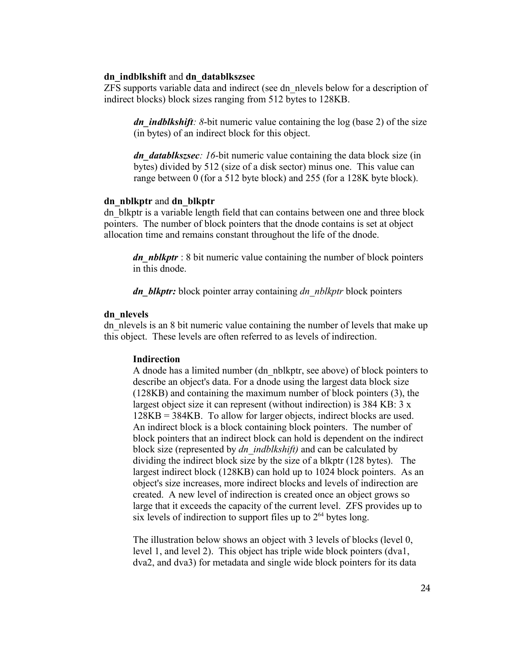#### **dn\_indblkshift** and **dn\_datablkszsec**

ZFS supports variable data and indirect (see dn\_nlevels below for a description of indirect blocks) block sizes ranging from 512 bytes to 128KB.

*dn indblkshift*: 8-bit numeric value containing the log (base 2) of the size (in bytes) of an indirect block for this object.

*dn\_datablkszsec*: 16-bit numeric value containing the data block size (in bytes) divided by 512 (size of a disk sector) minus one. This value can range between 0 (for a 512 byte block) and 255 (for a 128K byte block).

#### **dn\_nblkptr** and **dn\_blkptr**

dn\_blkptr is a variable length field that can contains between one and three block pointers. The number of block pointers that the dnode contains is set at object allocation time and remains constant throughout the life of the dnode.

*dn\_nblkptr* : 8 bit numeric value containing the number of block pointers in this dnode.

*dn\_blkptr:* block pointer array containing *dn\_nblkptr* block pointers

#### **dn\_nlevels**

dn nlevels is an 8 bit numeric value containing the number of levels that make up this object. These levels are often referred to as levels of indirection.

#### **Indirection**

A dnode has a limited number (dn\_nblkptr, see above) of block pointers to describe an object's data. For a dnode using the largest data block size (128KB) and containing the maximum number of block pointers (3), the largest object size it can represent (without indirection) is 384 KB: 3 x 128KB = 384KB. To allow for larger objects, indirect blocks are used. An indirect block is a block containing block pointers. The number of block pointers that an indirect block can hold is dependent on the indirect block size (represented by *dn\_indblkshift)* and can be calculated by dividing the indirect block size by the size of a blkptr (128 bytes). The largest indirect block (128KB) can hold up to 1024 block pointers. As an object's size increases, more indirect blocks and levels of indirection are created. A new level of indirection is created once an object grows so large that it exceeds the capacity of the current level. ZFS provides up to six levels of indirection to support files up to  $2<sup>64</sup>$  bytes long.

The illustration below shows an object with 3 levels of blocks (level 0, level 1, and level 2). This object has triple wide block pointers (dva1, dva2, and dva3) for metadata and single wide block pointers for its data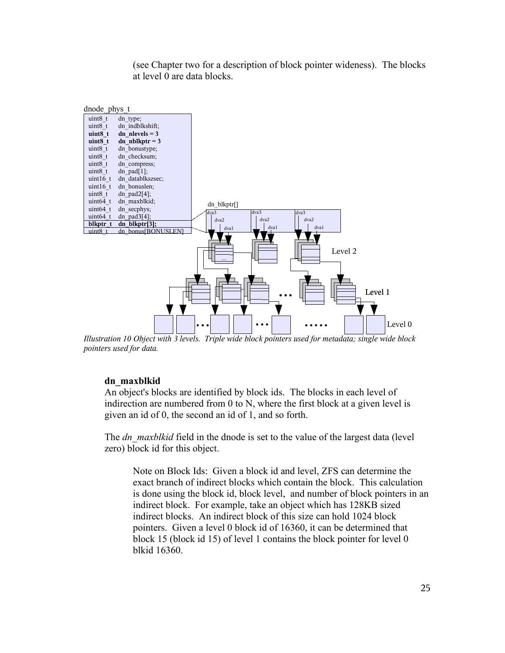(see Chapter two for a description of block pointer wideness). The blocks at level 0 are data blocks.



*Illustration 10 Object with 3 levels. Triple wide block pointers used for metadata; single wide block pointers used for data.*

#### **dn\_maxblkid**

An object's blocks are identified by block ids. The blocks in each level of indirection are numbered from 0 to N, where the first block at a given level is given an id of 0, the second an id of 1, and so forth.

The *dn\_maxblkid* field in the dnode is set to the value of the largest data (level zero) block id for this object.

Note on Block Ids: Given a block id and level, ZFS can determine the exact branch of indirect blocks which contain the block. This calculation is done using the block id, block level, and number of block pointers in an indirect block. For example, take an object which has 128KB sized indirect blocks. An indirect block of this size can hold 1024 block pointers. Given a level 0 block id of 16360, it can be determined that block 15 (block id 15) of level 1 contains the block pointer for level 0 blkid 16360.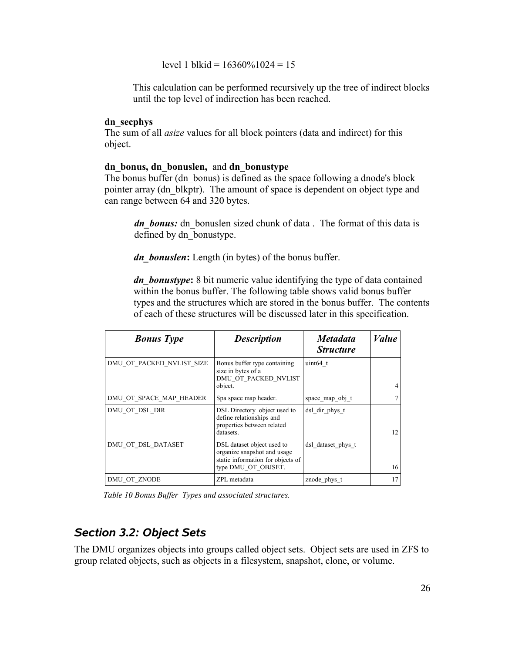level 1 blkid =  $16360\%1024 = 15$ 

This calculation can be performed recursively up the tree of indirect blocks until the top level of indirection has been reached.

#### **dn\_secphys**

The sum of all *asize* values for all block pointers (data and indirect) for this object.

#### **dn\_bonus, dn\_bonuslen,** and **dn\_bonustype**

The bonus buffer (dn\_bonus) is defined as the space following a dnode's block pointer array (dn\_blkptr). The amount of space is dependent on object type and can range between 64 and 320 bytes.

*dn bonus:* dn bonuslen sized chunk of data . The format of this data is defined by dn\_bonustype.

*dn\_bonuslen***:** Length (in bytes) of the bonus buffer.

*dn\_bonustype***:** 8 bit numeric value identifying the type of data contained within the bonus buffer. The following table shows valid bonus buffer types and the structures which are stored in the bonus buffer. The contents of each of these structures will be discussed later in this specification.

| <b>Bonus</b> Type         | <b>Description</b>                                                                                                    | <i>Metadata</i><br><i><b>Structure</b></i> | <i>Value</i> |
|---------------------------|-----------------------------------------------------------------------------------------------------------------------|--------------------------------------------|--------------|
| DMU OT PACKED NVLIST SIZE | Bonus buffer type containing<br>size in bytes of a<br>DMU OT PACKED NVLIST<br>object.                                 | uint $64$ t                                | 4            |
| DMU OT SPACE MAP HEADER   | Spa space map header.                                                                                                 | space map obj t                            |              |
| DMU OT DSL DIR            | DSL Directory object used to<br>define relationships and<br>properties between related<br>datasets.                   | dsl dir phys t                             | 12           |
| DMU OT DSL DATASET        | DSL dataset object used to<br>organize snapshot and usage<br>static information for objects of<br>type DMU OT OBJSET. | dsl dataset phys t                         | 16           |
| DMU OT ZNODE              | ZPL metadata                                                                                                          | znode phys t                               | 17           |

*Table 10 Bonus Buffer Types and associated structures.*

# *Section 3.2: Object Sets*

The DMU organizes objects into groups called object sets. Object sets are used in ZFS to group related objects, such as objects in a filesystem, snapshot, clone, or volume.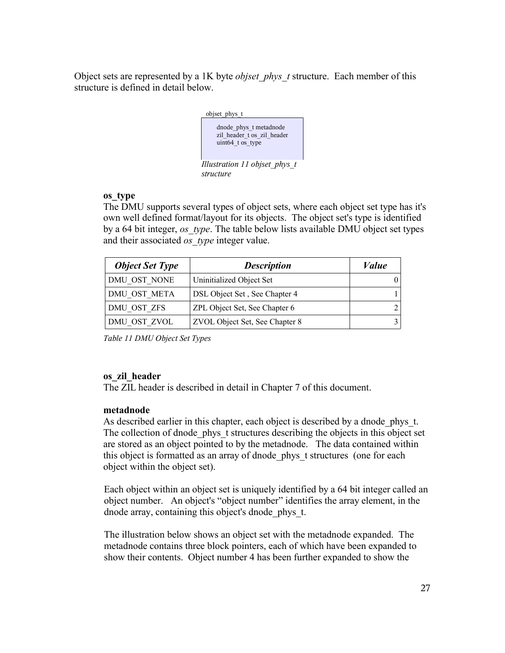Object sets are represented by a 1K byte *objset\_phys\_t* structure. Each member of this structure is defined in detail below.



#### **os\_type**

The DMU supports several types of object sets, where each object set type has it's own well defined format/layout for its objects. The object set's type is identified by a 64 bit integer, *os\_type*. The table below lists available DMU object set types and their associated *os\_type* integer value.

| <b>Object Set Type</b> | <b>Description</b>             | Value |
|------------------------|--------------------------------|-------|
| DMU OST NONE           | Uninitialized Object Set       |       |
| DMU OST META           | DSL Object Set, See Chapter 4  |       |
| DMU OST ZFS            | ZPL Object Set, See Chapter 6  |       |
| DMU OST ZVOL           | ZVOL Object Set, See Chapter 8 |       |

*Table 11 DMU Object Set Types*

### **os\_zil\_header**

The ZIL header is described in detail in Chapter 7 of this document.

### **metadnode**

As described earlier in this chapter, each object is described by a dnode phys t. The collection of dnode phys t structures describing the objects in this object set are stored as an object pointed to by the metadnode. The data contained within this object is formatted as an array of dnode\_phys\_t structures (one for each object within the object set).

Each object within an object set is uniquely identified by a 64 bit integer called an object number. An object's "object number" identifies the array element, in the dnode array, containing this object's dnode\_phys\_t.

The illustration below shows an object set with the metadnode expanded. The metadnode contains three block pointers, each of which have been expanded to show their contents. Object number 4 has been further expanded to show the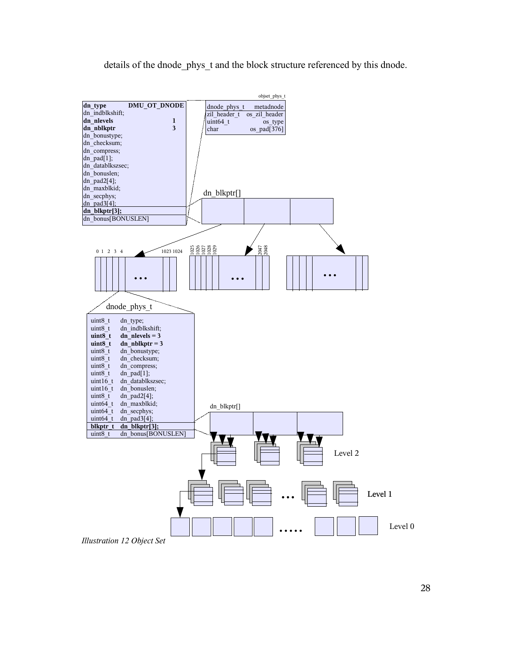details of the dnode phys t and the block structure referenced by this dnode.

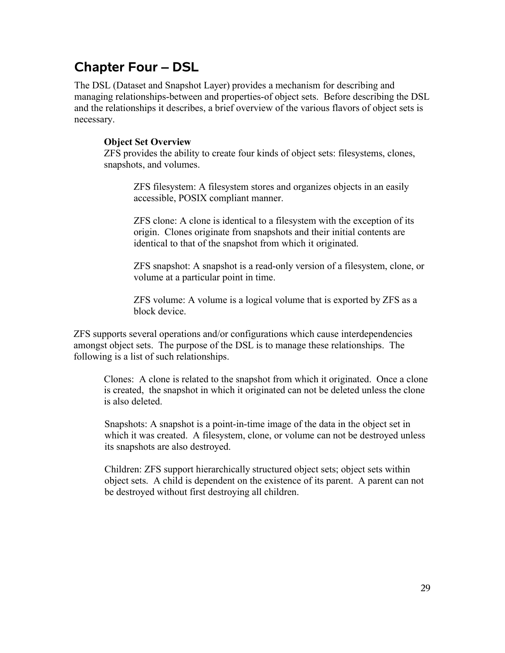# **Chapter Four – DSL**

The DSL (Dataset and Snapshot Layer) provides a mechanism for describing and managing relationships-between and properties-of object sets. Before describing the DSL and the relationships it describes, a brief overview of the various flavors of object sets is necessary.

#### **Object Set Overview**

ZFS provides the ability to create four kinds of object sets: filesystems, clones, snapshots, and volumes.

ZFS filesystem: A filesystem stores and organizes objects in an easily accessible, POSIX compliant manner.

ZFS clone: A clone is identical to a filesystem with the exception of its origin. Clones originate from snapshots and their initial contents are identical to that of the snapshot from which it originated.

ZFS snapshot: A snapshot is a read-only version of a filesystem, clone, or volume at a particular point in time.

ZFS volume: A volume is a logical volume that is exported by ZFS as a block device.

ZFS supports several operations and/or configurations which cause interdependencies amongst object sets. The purpose of the DSL is to manage these relationships. The following is a list of such relationships.

Clones: A clone is related to the snapshot from which it originated. Once a clone is created, the snapshot in which it originated can not be deleted unless the clone is also deleted.

Snapshots: A snapshot is a point-in-time image of the data in the object set in which it was created. A filesystem, clone, or volume can not be destroyed unless its snapshots are also destroyed.

Children: ZFS support hierarchically structured object sets; object sets within object sets. A child is dependent on the existence of its parent. A parent can not be destroyed without first destroying all children.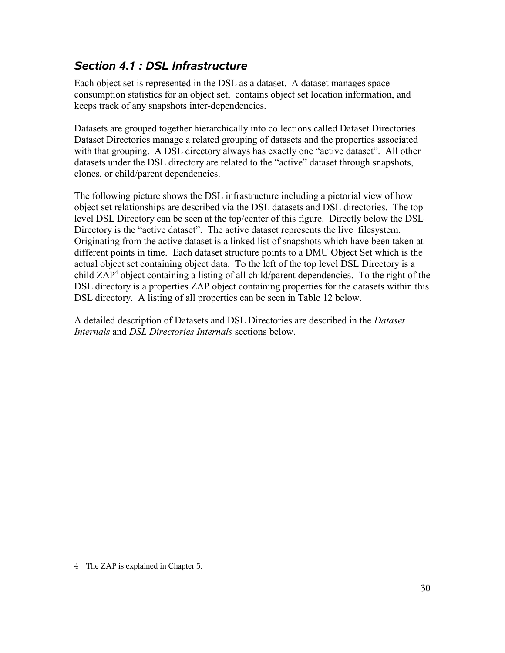# *Section 4.1 : DSL Infrastructure*

Each object set is represented in the DSL as a dataset. A dataset manages space consumption statistics for an object set, contains object set location information, and keeps track of any snapshots inter-dependencies.

Datasets are grouped together hierarchically into collections called Dataset Directories. Dataset Directories manage a related grouping of datasets and the properties associated with that grouping. A DSL directory always has exactly one "active dataset". All other datasets under the DSL directory are related to the "active" dataset through snapshots, clones, or child/parent dependencies.

The following picture shows the DSL infrastructure including a pictorial view of how object set relationships are described via the DSL datasets and DSL directories. The top level DSL Directory can be seen at the top/center of this figure. Directly below the DSL Directory is the "active dataset". The active dataset represents the live filesystem. Originating from the active dataset is a linked list of snapshots which have been taken at different points in time. Each dataset structure points to a DMU Object Set which is the actual object set containing object data. To the left of the top level DSL Directory is a child ZAP<sup>4</sup> object containing a listing of all child/parent dependencies. To the right of the DSL directory is a properties ZAP object containing properties for the datasets within this DSL directory. A listing of all properties can be seen in Table 12 below.

A detailed description of Datasets and DSL Directories are described in the *Dataset Internals* and *DSL Directories Internals* sections below.

<sup>4</sup> The ZAP is explained in Chapter 5.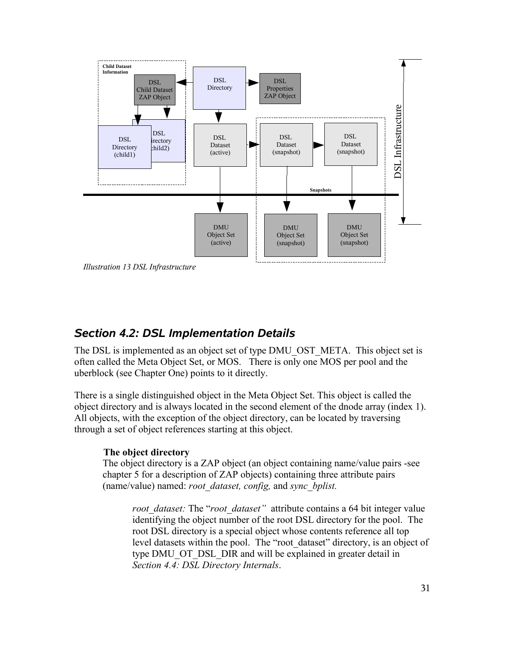

*Illustration 13 DSL Infrastructure*

### *Section 4.2: DSL Implementation Details*

The DSL is implemented as an object set of type DMU\_OST\_META. This object set is often called the Meta Object Set, or MOS. There is only one MOS per pool and the uberblock (see Chapter One) points to it directly.

There is a single distinguished object in the Meta Object Set. This object is called the object directory and is always located in the second element of the dnode array (index 1). All objects, with the exception of the object directory, can be located by traversing through a set of object references starting at this object.

#### **The object directory**

The object directory is a ZAP object (an object containing name/value pairs -see chapter 5 for a description of ZAP objects) containing three attribute pairs (name/value) named: *root\_dataset, config,* and *sync\_bplist.* 

*root\_dataset:* The "*root\_dataset"* attribute contains a 64 bit integer value identifying the object number of the root DSL directory for the pool. The root DSL directory is a special object whose contents reference all top level datasets within the pool. The "root\_dataset" directory, is an object of type DMU\_OT\_DSL\_DIR and will be explained in greater detail in *Section 4.4: DSL Directory Internals*.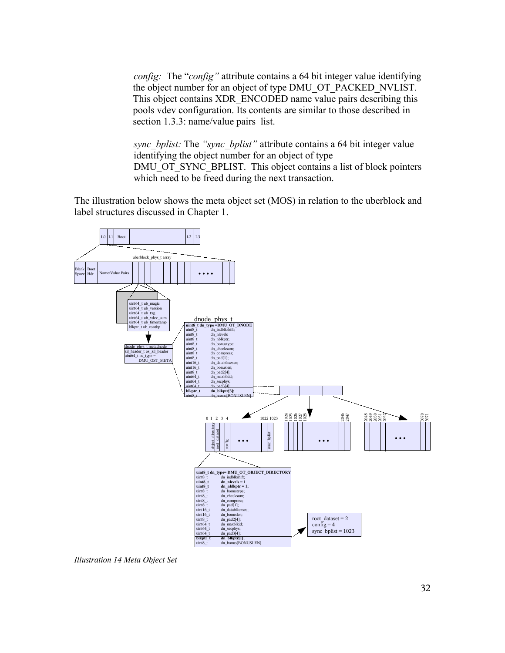*config:* The "*config"* attribute contains a 64 bit integer value identifying the object number for an object of type DMU\_OT\_PACKED\_NVLIST. This object contains XDR\_ENCODED name value pairs describing this pools vdev configuration. Its contents are similar to those described in section 1.3.3: name/value pairs list.

*sync\_bplist:* The *"sync\_bplist"* attribute contains a 64 bit integer value identifying the object number for an object of type DMU\_OT\_SYNC\_BPLIST. This object contains a list of block pointers which need to be freed during the next transaction.

The illustration below shows the meta object set (MOS) in relation to the uberblock and label structures discussed in Chapter 1.



*Illustration 14 Meta Object Set*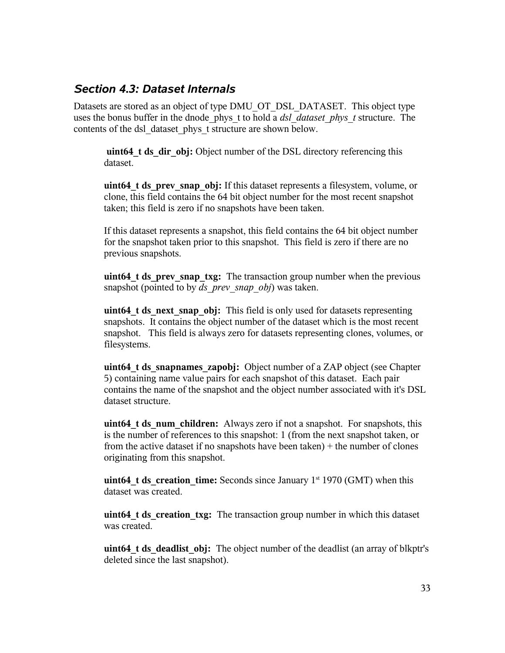### *Section 4.3: Dataset Internals*

Datasets are stored as an object of type DMU\_OT\_DSL\_DATASET. This object type uses the bonus buffer in the dnode\_phys\_t to hold a *dsl\_dataset\_phys\_t* structure. The contents of the dsl\_dataset\_phys\_t structure are shown below.

uint64 t ds dir obj: Object number of the DSL directory referencing this dataset.

**uint64 t ds** prev snap obj: If this dataset represents a filesystem, volume, or clone, this field contains the 64 bit object number for the most recent snapshot taken; this field is zero if no snapshots have been taken.

If this dataset represents a snapshot, this field contains the 64 bit object number for the snapshot taken prior to this snapshot. This field is zero if there are no previous snapshots.

**uint64 t ds** prev snap txg: The transaction group number when the previous snapshot (pointed to by *ds\_prev\_snap\_obj*) was taken.

**uint64 t ds** next snap obj: This field is only used for datasets representing snapshots. It contains the object number of the dataset which is the most recent snapshot. This field is always zero for datasets representing clones, volumes, or filesystems.

**uint64 t ds** snapnames zapobj: Object number of a ZAP object (see Chapter 5) containing name value pairs for each snapshot of this dataset. Each pair contains the name of the snapshot and the object number associated with it's DSL dataset structure.

**uint64 t ds** num children: Always zero if not a snapshot. For snapshots, this is the number of references to this snapshot: 1 (from the next snapshot taken, or from the active dataset if no snapshots have been taken)  $+$  the number of clones originating from this snapshot.

**uint64 t ds** creation time: Seconds since January  $1<sup>st</sup> 1970$  (GMT) when this dataset was created.

**uint64 t ds** creation txg: The transaction group number in which this dataset was created.

**uint64 t ds** deadlist obj: The object number of the deadlist (an array of blkptr's deleted since the last snapshot).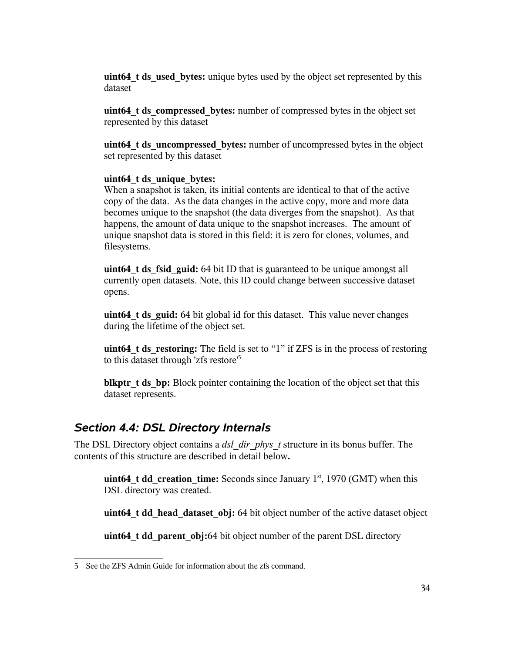**uint64 t** ds used bytes: unique bytes used by the object set represented by this dataset

**uint64** t ds compressed bytes: number of compressed bytes in the object set represented by this dataset

**uint64\_t ds\_uncompressed\_bytes:** number of uncompressed bytes in the object set represented by this dataset

#### **uint64\_t ds\_unique\_bytes:**

When a snapshot is taken, its initial contents are identical to that of the active copy of the data. As the data changes in the active copy, more and more data becomes unique to the snapshot (the data diverges from the snapshot). As that happens, the amount of data unique to the snapshot increases. The amount of unique snapshot data is stored in this field: it is zero for clones, volumes, and filesystems.

**uint64 t ds fsid guid:** 64 bit ID that is guaranteed to be unique amongst all currently open datasets. Note, this ID could change between successive dataset opens.

**uint64 t ds** guid: 64 bit global id for this dataset. This value never changes during the lifetime of the object set.

**uint64 t ds** restoring: The field is set to "1" if ZFS is in the process of restoring to this dataset through 'zfs restore' 5

**blkptr** t ds bp: Block pointer containing the location of the object set that this dataset represents.

## *Section 4.4: DSL Directory Internals*

The DSL Directory object contains a *dsl\_dir\_phys\_t* structure in its bonus buffer. The contents of this structure are described in detail below**.**

**uint64 t dd** creation time: Seconds since January  $1<sup>st</sup>$ , 1970 (GMT) when this DSL directory was created.

**uint64 t dd head dataset obj:** 64 bit object number of the active dataset object

**uint64 t dd** parent obj:64 bit object number of the parent DSL directory

<sup>5</sup> See the ZFS Admin Guide for information about the zfs command.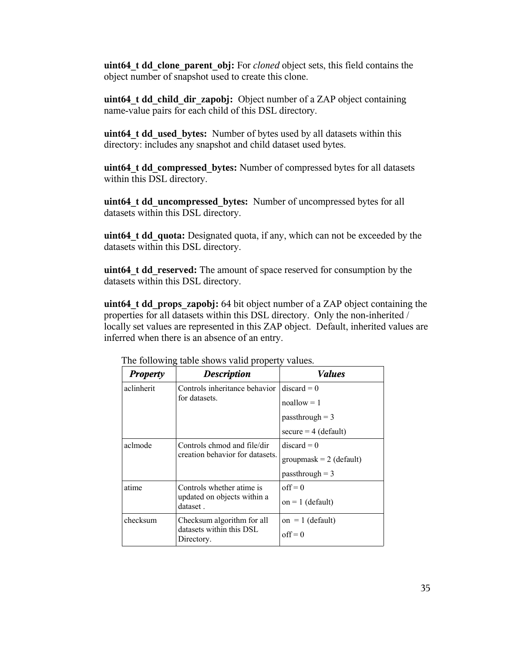**uint64\_t dd\_clone\_parent\_obj:** For *cloned* object sets, this field contains the object number of snapshot used to create this clone.

**uint64\_t dd\_child\_dir\_zapobj:** Object number of a ZAP object containing name-value pairs for each child of this DSL directory.

**uint64\_t dd\_used\_bytes:** Number of bytes used by all datasets within this directory: includes any snapshot and child dataset used bytes.

**uint64\_t dd\_compressed\_bytes:** Number of compressed bytes for all datasets within this DSL directory.

**uint64\_t dd\_uncompressed\_bytes:** Number of uncompressed bytes for all datasets within this DSL directory.

**uint64\_t dd\_quota:** Designated quota, if any, which can not be exceeded by the datasets within this DSL directory.

**uint64\_t dd\_reserved:** The amount of space reserved for consumption by the datasets within this DSL directory.

**uint64\_t dd\_props\_zapobj:** 64 bit object number of a ZAP object containing the properties for all datasets within this DSL directory. Only the non-inherited / locally set values are represented in this ZAP object. Default, inherited values are inferred when there is an absence of an entry.

| <b>Property</b>                         | <b>Description</b>                                             | <i>Values</i>             |
|-----------------------------------------|----------------------------------------------------------------|---------------------------|
| aclinherit                              | Controls inheritance behavior                                  | $discard = 0$             |
|                                         | for datasets.                                                  | $n$ oallow = 1            |
|                                         |                                                                | $pass through = 3$        |
|                                         |                                                                | $secure = 4 (default)$    |
| aclmode                                 | Controls chmod and file/dir<br>creation behavior for datasets. | $discard = 0$             |
|                                         |                                                                | groupmask = $2$ (default) |
|                                         |                                                                | $pass through = 3$        |
| atime                                   | Controls whether atime is                                      | $off = 0$                 |
| updated on objects within a<br>dataset. |                                                                | $on = 1$ (default)        |
| checksum                                | Checksum algorithm for all                                     | on = 1 (default)          |
|                                         | datasets within this DSL<br>Directory.                         | $off = 0$                 |

The following table shows valid property values.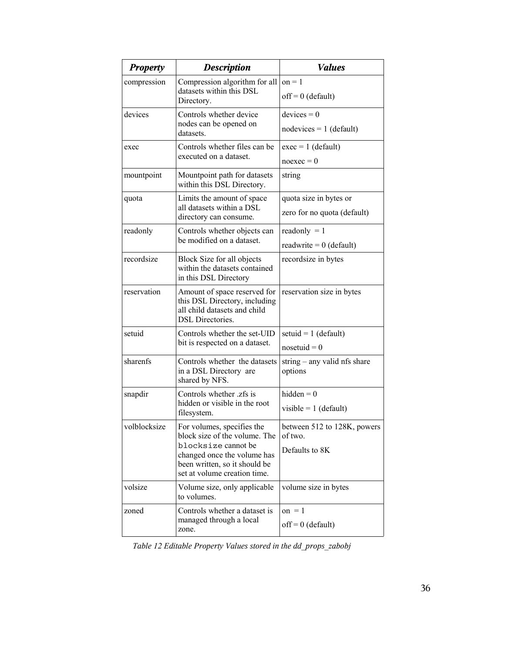| <b>Property</b>                                                            | <b>Description</b>                                                                                                       | <b>Values</b>                           |  |
|----------------------------------------------------------------------------|--------------------------------------------------------------------------------------------------------------------------|-----------------------------------------|--|
| compression                                                                | Compression algorithm for all                                                                                            | $on = 1$                                |  |
|                                                                            | datasets within this DSL<br>Directory.                                                                                   | $off = 0$ (default)                     |  |
| devices                                                                    | Controls whether device                                                                                                  | $devices = 0$                           |  |
|                                                                            | nodes can be opened on<br>datasets.                                                                                      | $nodevices = 1$ (default)               |  |
| exec                                                                       | Controls whether files can be                                                                                            | $exec = 1 (default)$                    |  |
|                                                                            | executed on a dataset.                                                                                                   | $n$ oexec = 0                           |  |
| mountpoint                                                                 | Mountpoint path for datasets<br>within this DSL Directory.                                                               | string                                  |  |
| quota                                                                      | Limits the amount of space                                                                                               | quota size in bytes or                  |  |
|                                                                            | all datasets within a DSL<br>directory can consume.                                                                      | zero for no quota (default)             |  |
| readonly                                                                   | Controls whether objects can                                                                                             | readonly $= 1$                          |  |
|                                                                            | be modified on a dataset.                                                                                                | readwrite = $0$ (default)               |  |
| recordsize                                                                 | Block Size for all objects<br>within the datasets contained<br>in this DSL Directory                                     | recordsize in bytes                     |  |
| reservation                                                                | Amount of space reserved for<br>this DSL Directory, including<br>all child datasets and child<br><b>DSL</b> Directories. | reservation size in bytes               |  |
| setuid                                                                     | Controls whether the set-UID                                                                                             | setuid = $1$ (default)                  |  |
|                                                                            | bit is respected on a dataset.                                                                                           | $nosetuid = 0$                          |  |
| sharenfs                                                                   | Controls whether the datasets<br>in a DSL Directory are<br>shared by NFS.                                                | string - any valid nfs share<br>options |  |
| snapdir                                                                    | Controls whether zfs is                                                                                                  | hidden $= 0$                            |  |
|                                                                            | hidden or visible in the root<br>filesystem.                                                                             | visible = $1$ (default)                 |  |
| volblocksize                                                               | For volumes, specifies the<br>block size of the volume. The                                                              | between 512 to 128K, powers<br>of two.  |  |
| blocksize cannot be<br>changed once the volume has                         |                                                                                                                          | Defaults to 8K                          |  |
|                                                                            | been written, so it should be<br>set at volume creation time.                                                            |                                         |  |
| volsize                                                                    | Volume size, only applicable<br>to volumes.                                                                              | volume size in bytes                    |  |
| Controls whether a dataset is<br>zoned<br>managed through a local<br>zone. |                                                                                                                          | on $=$ 1                                |  |
|                                                                            |                                                                                                                          | $off = 0$ (default)                     |  |

*Table 12 Editable Property Values stored in the dd\_props\_zabobj*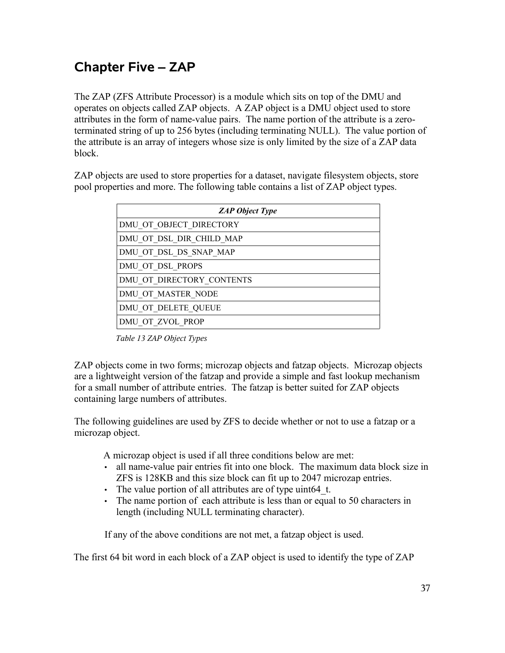# **Chapter Five – ZAP**

The ZAP (ZFS Attribute Processor) is a module which sits on top of the DMU and operates on objects called ZAP objects. A ZAP object is a DMU object used to store attributes in the form of name-value pairs. The name portion of the attribute is a zeroterminated string of up to 256 bytes (including terminating NULL). The value portion of the attribute is an array of integers whose size is only limited by the size of a ZAP data block.

ZAP objects are used to store properties for a dataset, navigate filesystem objects, store pool properties and more. The following table contains a list of ZAP object types.

| <b>ZAP Object Type</b>    |
|---------------------------|
| DMU OT OBJECT DIRECTORY   |
| DMU OT DSL DIR CHILD MAP  |
| DMU OT DSL DS SNAP MAP    |
| DMU OT DSL PROPS          |
| DMU OT DIRECTORY CONTENTS |
| DMU OT MASTER NODE        |
| DMU OT DELETE QUEUE       |
| DMU OT ZVOL PROP          |

 *Table 13 ZAP Object Types*

ZAP objects come in two forms; microzap objects and fatzap objects. Microzap objects are a lightweight version of the fatzap and provide a simple and fast lookup mechanism for a small number of attribute entries. The fatzap is better suited for ZAP objects containing large numbers of attributes.

The following guidelines are used by ZFS to decide whether or not to use a fatzap or a microzap object.

A microzap object is used if all three conditions below are met:

- all name-value pair entries fit into one block. The maximum data block size in ZFS is 128KB and this size block can fit up to 2047 microzap entries.
- The value portion of all attributes are of type uint64 t.
- The name portion of each attribute is less than or equal to 50 characters in length (including NULL terminating character).

If any of the above conditions are not met, a fatzap object is used.

The first 64 bit word in each block of a ZAP object is used to identify the type of ZAP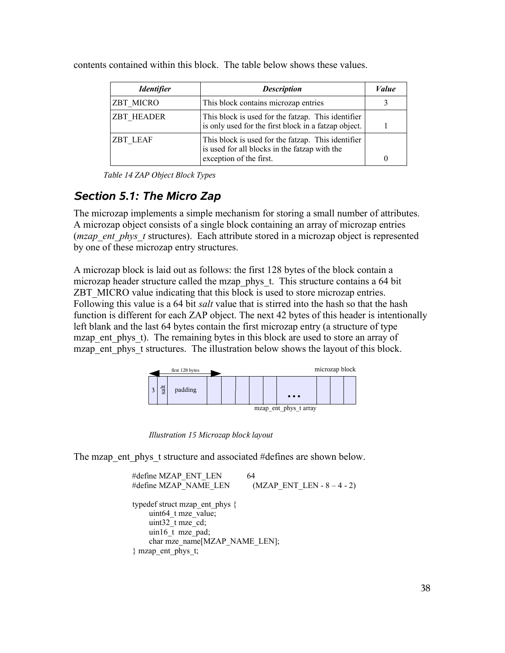| <i><u><b>Identifier</b></u></i> | <b>Description</b>                                                                                                             | Value |
|---------------------------------|--------------------------------------------------------------------------------------------------------------------------------|-------|
| ZBT MICRO                       | This block contains microzap entries                                                                                           |       |
| <b>ZBT HEADER</b>               | This block is used for the fatzap. This identifier<br>is only used for the first block in a fatzap object.                     |       |
| <b>ZBT LEAF</b>                 | This block is used for the fatzap. This identifier<br>is used for all blocks in the fatzap with the<br>exception of the first. |       |

contents contained within this block. The table below shows these values.

*Table 14 ZAP Object Block Types*

# *Section 5.1: The Micro Zap*

The microzap implements a simple mechanism for storing a small number of attributes. A microzap object consists of a single block containing an array of microzap entries (*mzap\_ent\_phys\_t* structures). Each attribute stored in a microzap object is represented by one of these microzap entry structures.

A microzap block is laid out as follows: the first 128 bytes of the block contain a microzap header structure called the mzap phys t. This structure contains a 64 bit ZBT\_MICRO value indicating that this block is used to store microzap entries. Following this value is a 64 bit *salt* value that is stirred into the hash so that the hash function is different for each ZAP object. The next 42 bytes of this header is intentionally left blank and the last 64 bytes contain the first microzap entry (a structure of type mzap ent phys t). The remaining bytes in this block are used to store an array of mzap ent phys t structures. The illustration below shows the layout of this block.



*Illustration* 15 *Microzap block* layout

The mzap ent phys t structure and associated #defines are shown below.

```
#define MZAP_ENT_LEN 64
#define MZAP_NAME_LEN (MZAP_ENT_LEN - 8 – 4 - 2)
typedef struct mzap_ent_phys {
    uint64 t mze_value;
    uint32 t mze cd;
     uin16_t mze_pad;
    char mze_name[MZAP_NAME_LEN];
} mzap_ent_phys_t;
```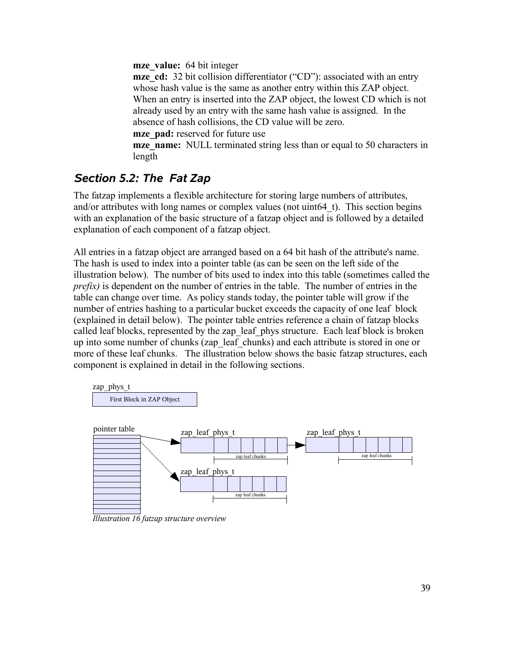**mze** value: 64 bit integer

**mze** cd: 32 bit collision differentiator ("CD"): associated with an entry whose hash value is the same as another entry within this ZAP object. When an entry is inserted into the ZAP object, the lowest CD which is not already used by an entry with the same hash value is assigned. In the absence of hash collisions, the CD value will be zero.

**mze\_pad:** reserved for future use

**mze\_name:** NULL terminated string less than or equal to 50 characters in length

# *Section 5.2: The Fat Zap*

The fatzap implements a flexible architecture for storing large numbers of attributes, and/or attributes with long names or complex values (not uint64\_t). This section begins with an explanation of the basic structure of a fatzap object and is followed by a detailed explanation of each component of a fatzap object.

All entries in a fatzap object are arranged based on a 64 bit hash of the attribute's name. The hash is used to index into a pointer table (as can be seen on the left side of the illustration below). The number of bits used to index into this table (sometimes called the *prefix*) is dependent on the number of entries in the table. The number of entries in the table can change over time. As policy stands today, the pointer table will grow if the number of entries hashing to a particular bucket exceeds the capacity of one leaf block (explained in detail below). The pointer table entries reference a chain of fatzap blocks called leaf blocks, represented by the zap leaf phys structure. Each leaf block is broken up into some number of chunks (zap\_leaf\_chunks) and each attribute is stored in one or more of these leaf chunks. The illustration below shows the basic fatzap structures, each component is explained in detail in the following sections.



*Illustration 16 fatzap structure overview*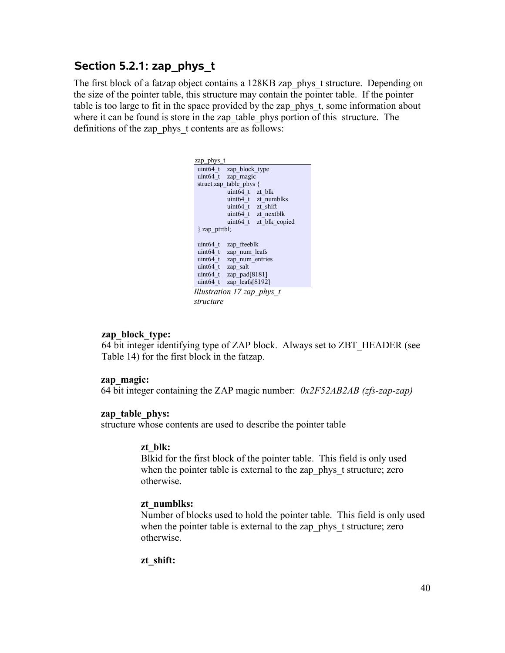## **Section 5.2.1: zap\_phys\_t**

The first block of a fatzap object contains a 128KB zap\_phys\_t structure. Depending on the size of the pointer table, this structure may contain the pointer table. If the pointer table is too large to fit in the space provided by the zap phys t, some information about where it can be found is store in the zap table phys portion of this structure. The definitions of the zap phys t contents are as follows:

| zap_phys t                    |
|-------------------------------|
| uint 64 t zap block type      |
| uint64 t zap magic            |
| struct zap table phys {       |
| uint64 t zt blk               |
| uint64 t zt numblks           |
| uint64 t zt shift             |
| uint64 t zt nextblk           |
| uint64 t zt blk copied        |
| $\}$ zap ptrtbl;              |
|                               |
| uint64 t<br>zap freeblk       |
| uint64 t zap num leafs        |
| uint64 t zap num entries      |
| uint64 t zap salt             |
| uint64 t zap pad $[8181]$     |
| zap leafs[8192]<br>$uint64$ t |
| Illustration 17 zap phys t    |
| structure                     |

#### **zap\_block\_type:**

64 bit integer identifying type of ZAP block. Always set to ZBT\_HEADER (see Table 14) for the first block in the fatzap.

#### **zap\_magic:**

64 bit integer containing the ZAP magic number: *0x2F52AB2AB (zfs-zap-zap)*

#### **zap\_table\_phys:**

structure whose contents are used to describe the pointer table

#### **zt\_blk:**

Blkid for the first block of the pointer table. This field is only used when the pointer table is external to the zap phys t structure; zero otherwise.

#### **zt\_numblks:**

Number of blocks used to hold the pointer table. This field is only used when the pointer table is external to the zap phys t structure; zero otherwise.

#### **zt\_shift:**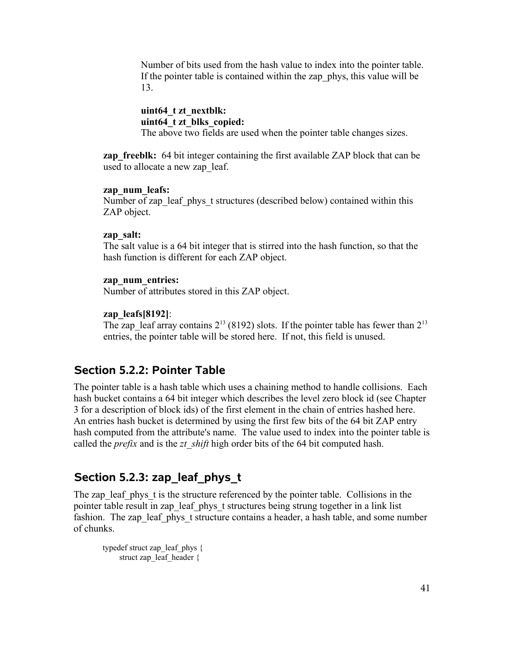Number of bits used from the hash value to index into the pointer table. If the pointer table is contained within the zap\_phys, this value will be 13.

**uint64\_t zt\_nextblk: uint64\_t zt\_blks\_copied:** The above two fields are used when the pointer table changes sizes.

**zap freeblk:** 64 bit integer containing the first available ZAP block that can be used to allocate a new zap\_leaf.

#### **zap\_num\_leafs:**

Number of zap\_leaf\_phys\_t structures (described below) contained within this ZAP object.

#### **zap\_salt:**

The salt value is a 64 bit integer that is stirred into the hash function, so that the hash function is different for each ZAP object.

#### **zap\_num\_entries:**

Number of attributes stored in this ZAP object.

#### **zap\_leafs[8192]**:

The zap leaf array contains  $2^{13}$  (8192) slots. If the pointer table has fewer than  $2^{13}$ entries, the pointer table will be stored here. If not, this field is unused.

### **Section 5.2.2: Pointer Table**

The pointer table is a hash table which uses a chaining method to handle collisions. Each hash bucket contains a 64 bit integer which describes the level zero block id (see Chapter 3 for a description of block ids) of the first element in the chain of entries hashed here. An entries hash bucket is determined by using the first few bits of the 64 bit ZAP entry hash computed from the attribute's name. The value used to index into the pointer table is called the *prefix* and is the *zt\_shift* high order bits of the 64 bit computed hash.

# **Section 5.2.3: zap\_leaf\_phys\_t**

The zap leaf phys t is the structure referenced by the pointer table. Collisions in the pointer table result in zap\_leaf\_phys\_t structures being strung together in a link list fashion. The zap\_leaf\_phys\_t structure contains a header, a hash table, and some number of chunks.

```
typedef struct zap_leaf_phys {
     struct zap leaf header {
```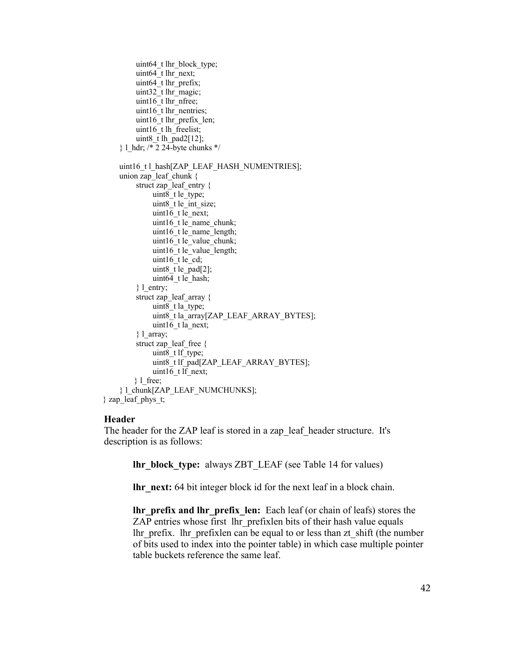```
uint64 t lhr_block_type;
         uint64 t lhr_next;
         uint64 t lhr prefix;
         uint32 t lhr_magic;
         uint16 t lhr_nfree;
         uint16 t lhr_nentries;
         uint16 t lhr_prefix_len;
         uint16<sup>t</sup> lh freelist;
         uint8 \overline{t} lh pad2[12];
      } l_hdr; /* 2 24-byte chunks */
      uint16_t l_hash[ZAP_LEAF_HASH_NUMENTRIES];
     union zap_leaf_chunk {
          struct zap_leaf_entry {
              uint8 t le type;
              uint8 t le int size;
              uint16 t le_next;
              uint16 t le_name_chunk;
              uint16 t le_name_length;
              uint16 t le_value_chunk;
              uint16 t le value length;
              uint16 t le cd;
              uint8 \overline{t} le pad[2];
              uint64 t le_hash;
          \} l entry;
          struct zap_leaf_array {
              uint8 t la_type;
               uint8_t la_array[ZAP_LEAF_ARRAY_BYTES];
               uint16_t la_next; 
          \} 1 array;
         struct zap_leaf_free {
              uint8 t lf type;
              uint8_t lf_pad[ZAP_LEAF_ARRAY_BYTES];
              uint16 t lf next;
         \} l free;
      } l_chunk[ZAP_LEAF_NUMCHUNKS];
} zap_leaf_phys_t;
```
#### **Header**

The header for the ZAP leaf is stored in a zap\_leaf\_header structure. It's description is as follows:

**lhr\_block\_type:** always ZBT\_LEAF (see Table 14 for values)

**lhr\_next:** 64 bit integer block id for the next leaf in a block chain.

**lhr\_prefix and lhr\_prefix\_len:** Each leaf (or chain of leafs) stores the ZAP entries whose first lhr\_prefixlen bits of their hash value equals lhr\_prefix. lhr\_prefixlen can be equal to or less than zt\_shift (the number of bits used to index into the pointer table) in which case multiple pointer table buckets reference the same leaf.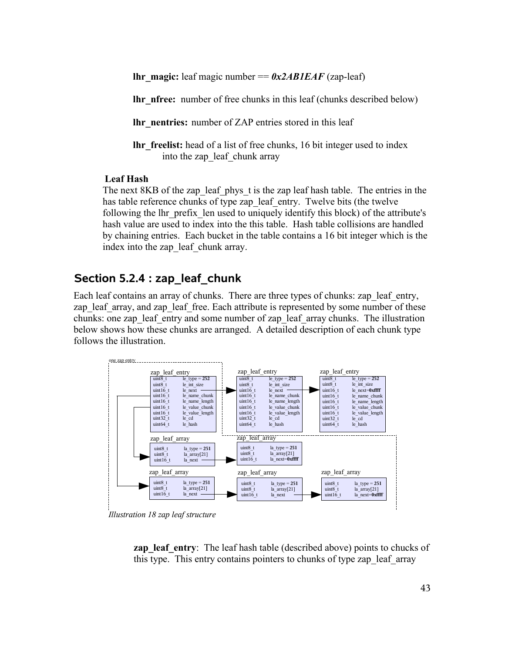**lhr\_magic:** leaf magic number ==  $0x2ABIEAF$  (zap-leaf)

**lhr\_nfree:** number of free chunks in this leaf (chunks described below)

**lhr\_nentries:** number of ZAP entries stored in this leaf

**lhr** freelist: head of a list of free chunks, 16 bit integer used to index into the zap leaf chunk array

#### **Leaf Hash**

The next 8KB of the zap leaf phys t is the zap leaf hash table. The entries in the has table reference chunks of type zap\_leaf\_entry. Twelve bits (the twelve following the lhr\_prefix\_len used to uniquely identify this block) of the attribute's hash value are used to index into the this table. Hash table collisions are handled by chaining entries. Each bucket in the table contains a 16 bit integer which is the index into the zap leaf chunk array.

### **Section 5.2.4 : zap\_leaf\_chunk**

Each leaf contains an array of chunks. There are three types of chunks: zap leaf entry, zap leaf array, and zap leaf free. Each attribute is represented by some number of these chunks: one zap\_leaf\_entry and some number of zap\_leaf\_array chunks. The illustration below shows how these chunks are arranged. A detailed description of each chunk type follows the illustration.



*Illustration 18 zap leaf structure*

**zap leaf entry**: The leaf hash table (described above) points to chucks of this type. This entry contains pointers to chunks of type zap\_leaf\_array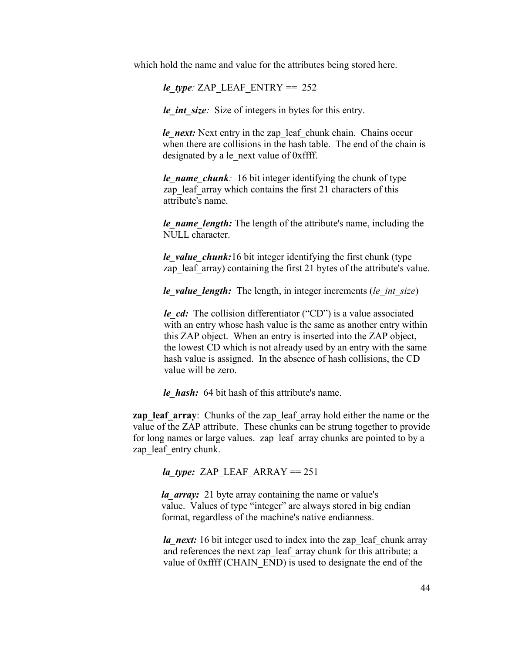which hold the name and value for the attributes being stored here.

 $le\_type$ *:* ZAP\_LEAF\_ENTRY == 252

*le int size*: Size of integers in bytes for this entry.

*le\_next:* Next entry in the zap\_leaf\_chunk chain. Chains occur when there are collisions in the hash table. The end of the chain is designated by a le\_next value of 0xffff.

*le\_name\_chunk:* 16 bit integer identifying the chunk of type zap leaf array which contains the first 21 characters of this attribute's name.

*le\_name\_length:* The length of the attribute's name, including the NULL character.

*le* value chunk:16 bit integer identifying the first chunk (type zap leaf array) containing the first 21 bytes of the attribute's value.

*le\_value\_length:* The length, in integer increments (*le\_int\_size*)

*le cd:* The collision differentiator ("CD") is a value associated with an entry whose hash value is the same as another entry within this ZAP object. When an entry is inserted into the ZAP object, the lowest CD which is not already used by an entry with the same hash value is assigned. In the absence of hash collisions, the CD value will be zero.

*le\_hash:* 64 bit hash of this attribute's name.

**zap** leaf array: Chunks of the zap leaf array hold either the name or the value of the ZAP attribute. These chunks can be strung together to provide for long names or large values. zap leaf array chunks are pointed to by a zap leaf entry chunk.

*la\_type:* ZAP\_LEAF\_ARRAY ==  $251$ 

*la array:* 21 byte array containing the name or value's value. Values of type "integer" are always stored in big endian format, regardless of the machine's native endianness.

*la\_next:* 16 bit integer used to index into the zap\_leaf\_chunk array and references the next zap\_leaf\_array chunk for this attribute; a value of 0xffff (CHAIN\_END) is used to designate the end of the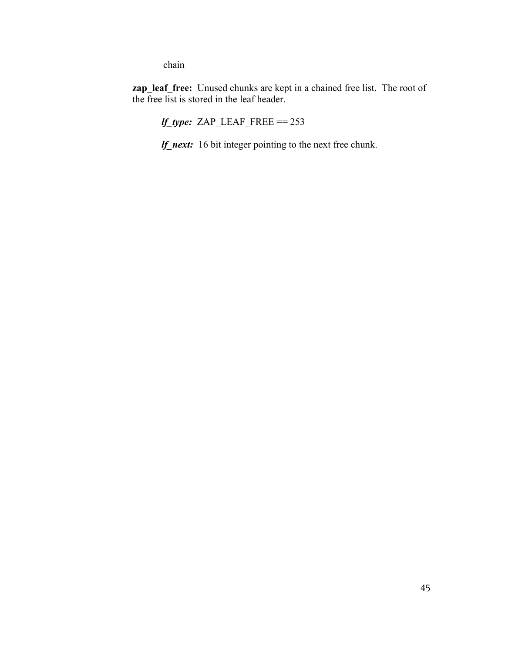chain

**zap** leaf free: Unused chunks are kept in a chained free list. The root of the free list is stored in the leaf header.

*lf\_type:* ZAP\_LEAF\_FREE == 253

*lf\_next:* 16 bit integer pointing to the next free chunk.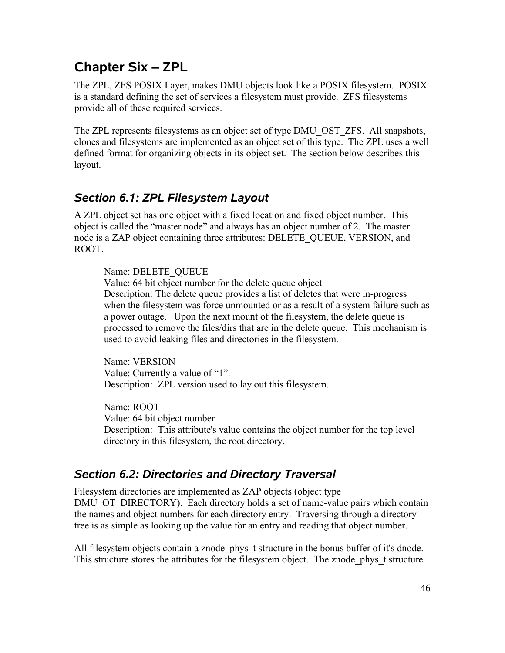# **Chapter Six – ZPL**

The ZPL, ZFS POSIX Layer, makes DMU objects look like a POSIX filesystem. POSIX is a standard defining the set of services a filesystem must provide. ZFS filesystems provide all of these required services.

The ZPL represents filesystems as an object set of type DMU\_OST\_ZFS. All snapshots, clones and filesystems are implemented as an object set of this type. The ZPL uses a well defined format for organizing objects in its object set. The section below describes this layout.

# *Section 6.1: ZPL Filesystem Layout*

A ZPL object set has one object with a fixed location and fixed object number. This object is called the "master node" and always has an object number of 2. The master node is a ZAP object containing three attributes: DELETE\_QUEUE, VERSION, and ROOT.

### Name: DELETE\_QUEUE

Value: 64 bit object number for the delete queue object Description: The delete queue provides a list of deletes that were in-progress when the filesystem was force unmounted or as a result of a system failure such as a power outage. Upon the next mount of the filesystem, the delete queue is processed to remove the files/dirs that are in the delete queue. This mechanism is used to avoid leaking files and directories in the filesystem.

Name: VERSION Value: Currently a value of "1". Description: ZPL version used to lay out this filesystem.

Name: ROOT Value: 64 bit object number Description: This attribute's value contains the object number for the top level directory in this filesystem, the root directory.

# *Section 6.2: Directories and Directory Traversal*

Filesystem directories are implemented as ZAP objects (object type DMU\_OT\_DIRECTORY). Each directory holds a set of name-value pairs which contain the names and object numbers for each directory entry. Traversing through a directory tree is as simple as looking up the value for an entry and reading that object number.

All filesystem objects contain a znode phys t structure in the bonus buffer of it's dnode. This structure stores the attributes for the filesystem object. The znode\_phys\_t structure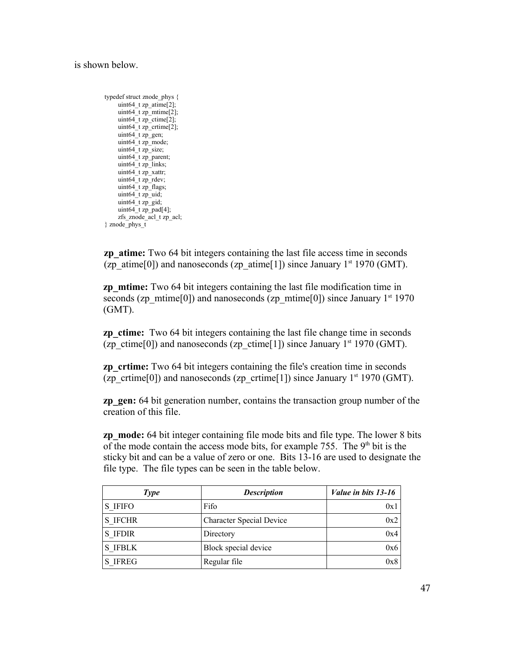#### is shown below.

```
typedef struct znode_phys {
     uint64 t zp \text{atime}[2];
      uint64_t zp_mtime[2];
     uint64 t zp ctime[2];
     uint64_t zp_crtime[2];
     uint64_t zp_gen;
     uint64_t zp_mode;
      uint64_t zp_size; 
     uint64<sup>-t</sup> zp<sup>-</sup>parent;
     uint64 t zp_links;
      uint64_t zp_xattr;
      uint64_t zp_rdev; 
      uint64_t zp_flags; 
     uint64^-t zp_uid;
     uint64 t zp_gid;
     uint64^-t zp_pad[4];
      zfs_znode_acl_t zp_acl;
} znode_phys_t
```
**zp** atime: Two 64 bit integers containing the last file access time in seconds (zp\_atime[0]) and nanoseconds (zp\_atime[1]) since January  $1<sup>st</sup> 1970$  (GMT).

**zp\_mtime:** Two 64 bit integers containing the last file modification time in seconds (zp\_mtime[0]) and nanoseconds (zp\_mtime[0]) since January  $1<sup>st</sup> 1970$ (GMT).

**zp** ctime: Two 64 bit integers containing the last file change time in seconds (zp\_ctime[0]) and nanoseconds (zp\_ctime[1]) since January 1<sup>st</sup> 1970 (GMT).

**zp** crtime: Two 64 bit integers containing the file's creation time in seconds (zp\_crtime[0]) and nanoseconds (zp\_crtime[1]) since January  $1<sup>st</sup> 1970$  (GMT).

**zp** gen: 64 bit generation number, contains the transaction group number of the creation of this file.

**zp** mode: 64 bit integer containing file mode bits and file type. The lower 8 bits of the mode contain the access mode bits, for example 755. The  $9<sup>th</sup>$  bit is the sticky bit and can be a value of zero or one. Bits 13-16 are used to designate the file type. The file types can be seen in the table below.

| <b>Type</b>    | <b>Description</b>              | Value in bits 13-16 |
|----------------|---------------------------------|---------------------|
| S IFIFO        | Fifo                            | 0x1                 |
| S IFCHR        | <b>Character Special Device</b> | 0x2                 |
| <b>S</b> IFDIR | Directory                       | 0x4                 |
| <b>S IFBLK</b> | Block special device            | 0x6                 |
| <b>S</b> IFREG | Regular file                    | 0x8                 |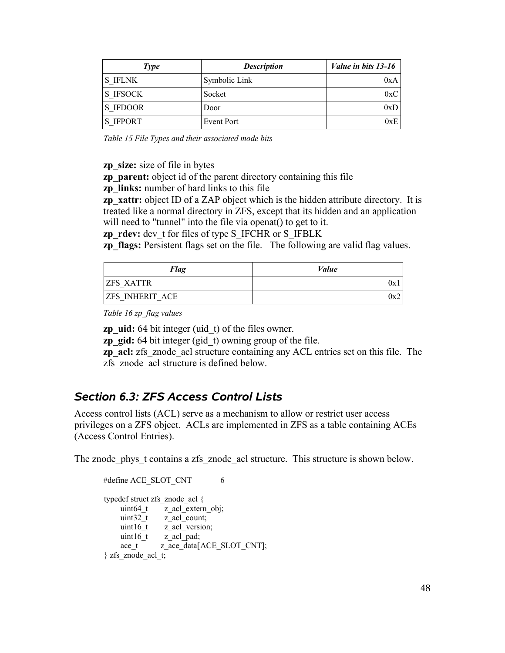| <b>Type</b>     | <b>Description</b> | Value in bits 13-16 |
|-----------------|--------------------|---------------------|
| <b>S IFLNK</b>  | Symbolic Link      | 0xA                 |
| S IFSOCK        | Socket             | 0xC                 |
| S IFDOOR        | Door               | 0xD                 |
| <b>S IFPORT</b> | Event Port         | 0xE                 |

*Table 15 File Types and their associated mode bits*

**zp\_size:** size of file in bytes

**zp** parent: object id of the parent directory containing this file

**zp\_links:** number of hard links to this file

**zp\_xattr:** object ID of a ZAP object which is the hidden attribute directory. It is treated like a normal directory in ZFS, except that its hidden and an application will need to "tunnel" into the file via openat() to get to it.

**zp** rdev: dev t for files of type S\_IFCHR or S\_IFBLK

**zp flags:** Persistent flags set on the file. The following are valid flag values.

| <b>Flag</b>            | Value |
|------------------------|-------|
| <b>ZFS XATTR</b>       | Uх    |
| <b>ZFS INHERIT ACE</b> | Ux2   |

*Table 16 zp\_flag values*

**zp\_uid:** 64 bit integer (uid\_t) of the files owner.

**zp** gid: 64 bit integer (gid t) owning group of the file.

**zp\_acl:** zfs\_znode\_acl structure containing any ACL entries set on this file. The zfs\_znode\_acl structure is defined below.

# *Section 6.3: ZFS Access Control Lists*

Access control lists (ACL) serve as a mechanism to allow or restrict user access privileges on a ZFS object. ACLs are implemented in ZFS as a table containing ACEs (Access Control Entries).

The znode phys t contains a zfs znode acl structure. This structure is shown below.

```
#define ACE_SLOT_CNT 6
typedef struct zfs_znode_acl {
    uint64_t z_acl_extern_obj;<br>uint32_t z_acl_count;
                z<sub>_acl_count;</sub>
    uint16_t z_acl_version;
    uint16 t \bar{z} acl pad;
    ace t z ace data[ACE_SLOT_CNT];
} zfs_znode_acl_t;
```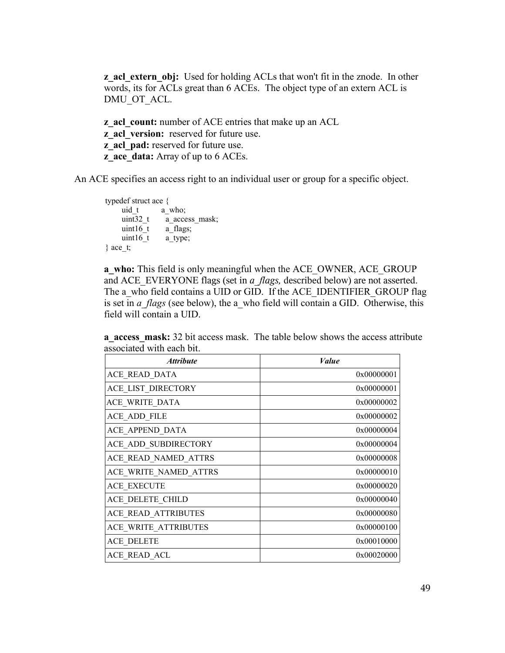**z** acl extern obj: Used for holding ACLs that won't fit in the znode. In other words, its for ACLs great than 6 ACEs. The object type of an extern ACL is DMU\_OT\_ACL.

**z** acl count: number of ACE entries that make up an ACL **z\_acl\_version:** reserved for future use. **z** acl pad: reserved for future use. **z** ace data: Array of up to 6 ACEs.

An ACE specifies an access right to an individual user or group for a specific object.

```
typedef struct ace {
     uid_t a_who;<br>uint32 t a_ acce
                  a access mask;
     uint16t a flags;
     uint16 t a type;
} ace t;
```
**a** who: This field is only meaningful when the ACE OWNER, ACE GROUP and ACE\_EVERYONE flags (set in *a\_flags,* described below) are not asserted. The a who field contains a UID or GID. If the ACE\_IDENTIFIER\_GROUP flag is set in *a\_flags* (see below), the a\_who field will contain a GID. Otherwise, this field will contain a UID.

| <i><b>Attribute</b></i> | Value      |
|-------------------------|------------|
| ACE READ DATA           | 0x00000001 |
| ACE LIST DIRECTORY      | 0x00000001 |
| ACE WRITE DATA          | 0x00000002 |
| ACE ADD FILE            | 0x00000002 |
| ACE APPEND DATA         | 0x00000004 |
| ACE ADD SUBDIRECTORY    | 0x00000004 |
| ACE READ NAMED ATTRS    | 0x00000008 |
| ACE WRITE NAMED ATTRS   | 0x00000010 |
| <b>ACE EXECUTE</b>      | 0x00000020 |
| ACE DELETE CHILD        | 0x00000040 |
| ACE_READ_ATTRIBUTES     | 0x00000080 |
| ACE WRITE ATTRIBUTES    | 0x00000100 |
| <b>ACE DELETE</b>       | 0x00010000 |
| ACE READ ACL            | 0x00020000 |

**a** access mask: 32 bit access mask. The table below shows the access attribute associated with each bit.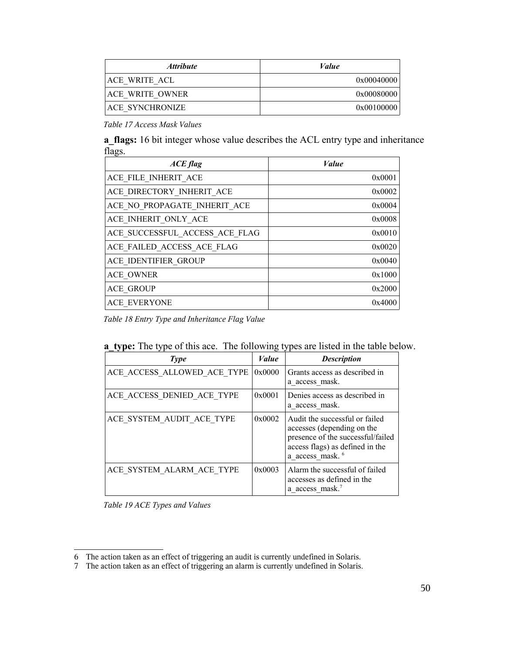| <i><b>Attribute</b></i> | Value      |
|-------------------------|------------|
| ACE WRITE ACL           | 0x00040000 |
| ACE WRITE OWNER         | 0x00080000 |
| ACE SYNCHRONIZE         | 0x00100000 |

*Table 17 Access Mask Values*

**a\_flags:** 16 bit integer whose value describes the ACL entry type and inheritance flags.

| $ACE$ flag                     | <i>Value</i> |
|--------------------------------|--------------|
| ACE FILE INHERIT ACE           | 0x0001       |
| ACE DIRECTORY INHERIT ACE      | 0x0002       |
| ACE NO PROPAGATE INHERIT ACE   | 0x0004       |
| ACE INHERIT ONLY_ACE           | 0x0008       |
| ACE SUCCESSFUL ACCESS ACE FLAG | 0x0010       |
| ACE FAILED ACCESS ACE FLAG     | 0x0020       |
| ACE IDENTIFIER GROUP           | 0x0040       |
| <b>ACE OWNER</b>               | 0x1000       |
| <b>ACE GROUP</b>               | 0x2000       |
| <b>ACE EVERYONE</b>            | 0x4000       |

*Table 18 Entry Type and Inheritance Flag Value*

| Type                        | Value  | <b>Description</b>                                                                                                                                                  |
|-----------------------------|--------|---------------------------------------------------------------------------------------------------------------------------------------------------------------------|
| ACE ACCESS ALLOWED ACE TYPE | 0x0000 | Grants access as described in<br>a access mask.                                                                                                                     |
| ACE ACCESS DENIED ACE TYPE  | 0x0001 | Denies access as described in<br>a access mask.                                                                                                                     |
| ACE SYSTEM AUDIT ACE TYPE   | 0x0002 | Audit the successful or failed<br>accesses (depending on the<br>presence of the successful/failed<br>access flags) as defined in the<br>a access mask. <sup>6</sup> |
| ACE SYSTEM ALARM ACE TYPE   | 0x0003 | Alarm the successful of failed<br>accesses as defined in the<br>a access mask.                                                                                      |

*Table 19 ACE Types and Values*

<sup>6</sup> The action taken as an effect of triggering an audit is currently undefined in Solaris.

<sup>7</sup> The action taken as an effect of triggering an alarm is currently undefined in Solaris.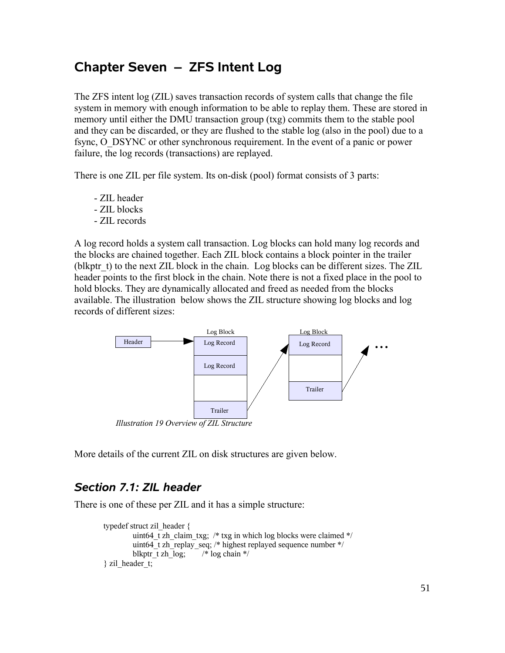# **Chapter Seven – ZFS Intent Log**

The ZFS intent log (ZIL) saves transaction records of system calls that change the file system in memory with enough information to be able to replay them. These are stored in memory until either the DMU transaction group (txg) commits them to the stable pool and they can be discarded, or they are flushed to the stable log (also in the pool) due to a fsync, O\_DSYNC or other synchronous requirement. In the event of a panic or power failure, the log records (transactions) are replayed.

There is one ZIL per file system. Its on-disk (pool) format consists of 3 parts:

- ZIL header
- ZIL blocks
- ZIL records

A log record holds a system call transaction. Log blocks can hold many log records and the blocks are chained together. Each ZIL block contains a block pointer in the trailer (blkptr t) to the next ZIL block in the chain. Log blocks can be different sizes. The ZIL header points to the first block in the chain. Note there is not a fixed place in the pool to hold blocks. They are dynamically allocated and freed as needed from the blocks available. The illustration below shows the ZIL structure showing log blocks and log records of different sizes:



*Illustration 19 Overview of ZIL Structure*

More details of the current ZIL on disk structures are given below.

### *Section 7.1: ZIL header*

There is one of these per ZIL and it has a simple structure:

```
typedef struct zil_header {
         uint64 t zh_claim_txg; /* txg in which log blocks were claimed */
         uint64 t zh_replay_seq; /* highest replayed sequence number */blkptr\overline{t} zh\overline{log}; /* log chain */
\} zil header t;
```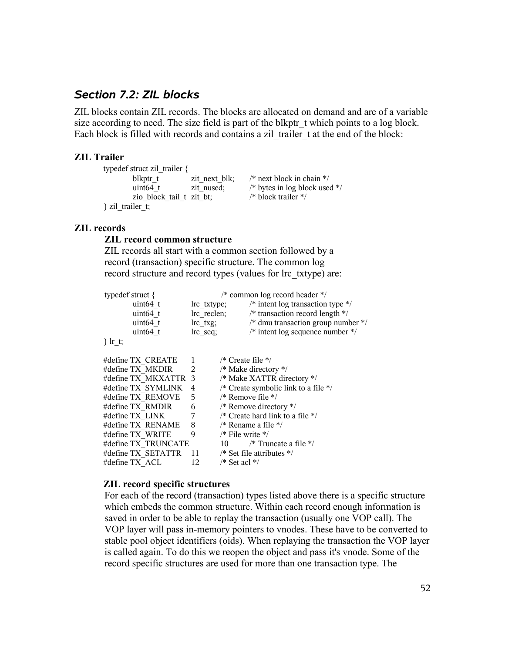# *Section 7.2: ZIL blocks*

ZIL blocks contain ZIL records. The blocks are allocated on demand and are of a variable size according to need. The size field is part of the blkptr t which points to a log block. Each block is filled with records and contains a zil trailer t at the end of the block:

#### **ZIL Trailer**

| typedef struct zil trailer $\{$ |               |                                 |
|---------------------------------|---------------|---------------------------------|
| blkptr t                        | zit next blk; | /* next block in chain $*/$     |
| uint $64$ t                     | zit nused;    | /* bytes in log block used $*/$ |
| zio block tail t zit bt;        |               | /* block trailer $*/$           |
| stail trailer to                |               |                                 |

#### **ZIL records**

#### **ZIL record common structure**

ZIL records all start with a common section followed by a record (transaction) specific structure. The common log record structure and record types (values for lrc\_txtype) are:

| typedef struct $\{$ |                      | /* common log record header $*/$ |                                         |                                               |
|---------------------|----------------------|----------------------------------|-----------------------------------------|-----------------------------------------------|
|                     | uint64 t             | lrc txtype;                      |                                         | /* intent log transaction type $*/$           |
|                     | uint $64$ t          | lrc reclen;                      |                                         | $/*$ transaction record length $*/$           |
|                     | uint $64$ t          | $lrc$ txg;                       |                                         | /* dmu transaction group number $\frac{*}{ }$ |
|                     | uint64 t             | lrc seq;                         |                                         | $/*$ intent log sequence number $*/$          |
| $\}$ Ir t;          |                      |                                  |                                         |                                               |
|                     | #define TX CREATE    | 1                                | $\frac{*}{*}$ Create file $\frac{*}{*}$ |                                               |
|                     | #define TX MKDIR     | 2                                |                                         | /* Make directory $*/$                        |
|                     | #define TX MKXATTR 3 |                                  |                                         | /* Make XATTR directory */                    |
|                     | #define TX SYMLINK   | 4                                |                                         | /* Create symbolic link to a file $*/$        |
|                     | #define TX REMOVE    | 5                                | /* Remove file $*/$                     |                                               |
|                     | #define TX RMDIR     | 6                                |                                         | /* Remove directory $*/$                      |
|                     | #define TX LINK      | 7                                |                                         | /* Create hard link to a file $*/$            |
|                     | #define TX RENAME    | 8                                |                                         | /* Rename a file $*/$                         |
|                     | #define TX WRITE     | 9                                | $\frac{*}{*}$ File write $\frac{*}{*}$  |                                               |
|                     | #define TX TRUNCATE  |                                  | 10                                      | /* Truncate a file $\frac{*}{ }$              |
|                     | #define TX SETATTR   | 11                               |                                         | /* Set file attributes $*/$                   |
|                     | #define TX ACL       | 12                               | $/*$ Set acl $*/$                       |                                               |

#### **ZIL record specific structures**

For each of the record (transaction) types listed above there is a specific structure which embeds the common structure. Within each record enough information is saved in order to be able to replay the transaction (usually one VOP call). The VOP layer will pass in-memory pointers to vnodes. These have to be converted to stable pool object identifiers (oids). When replaying the transaction the VOP layer is called again. To do this we reopen the object and pass it's vnode. Some of the record specific structures are used for more than one transaction type. The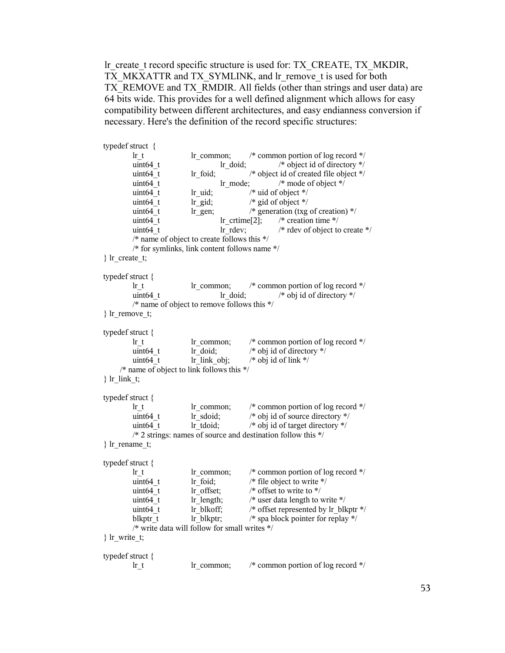lr\_create\_t record specific structure is used for: TX\_CREATE, TX\_MKDIR, TX\_MKXATTR and TX\_SYMLINK, and lr\_remove\_t is used for both TX\_REMOVE and TX\_RMDIR. All fields (other than strings and user data) are 64 bits wide. This provides for a well defined alignment which allows for easy compatibility between different architectures, and easy endianness conversion if necessary. Here's the definition of the record specific structures:

```
typedef struct {
       lr t lr common; /* common portion of log record */uint64 t lr doid; /* object id of directory */uint64 t lr foid; /* object id of created file object */uint64 t lr mode; /* mode of object */uint64 t lr uid; /* uid of object */uint64 t lr gid; /* gid of object */uint64 t lr gen; /* generation (txg of creation) */uint64 t lr crtime[2]; /* creation time */
       uint64 t lr rdev; /* rdev of object to create *//* name of object to create follows this */
       /* for symlinks, link content follows name */
} lr_create_t;
typedef struct {
       lr_t lr_common; /* common portion of log record */
       uint64 t lr doid; /* obj id of directory *//* name of object to remove follows this */
} lr_remove_t;
typedef struct {
       lr t lr common; /* common portion of log record */uint64 t lr doid; /* obj id of directory */uint64 t lr link obj; /* obj id of link */
     /* name of object to link follows this */
\} lr link t;
typedef struct {
       lr t lr common; /* common portion of log record */uint64_t lr_sdoid; /* obj id of source directory */uint64<sub>_t</sub> lr_tdoid; /* obj id of target directory */
       /* 2 strings: names of source and destination follow this */
} lr_rename_t;
typedef struct {
       lr t lr common; /* common portion of log record */uint64 t lr foid; /* file object to write */
       uint64 t lr offset; /* offset to write to */
       uint64 t lr length; /* user data length to write */uint64 t lr_blkoff; /* offset represented by lr_blkptr */
       blkptr t lr blkptr; /* spa block pointer for replay *//* write data will follow for small writes */
} lr_write_t;
typedef struct {
       lr_t lr_common; /* common portion of log record */
```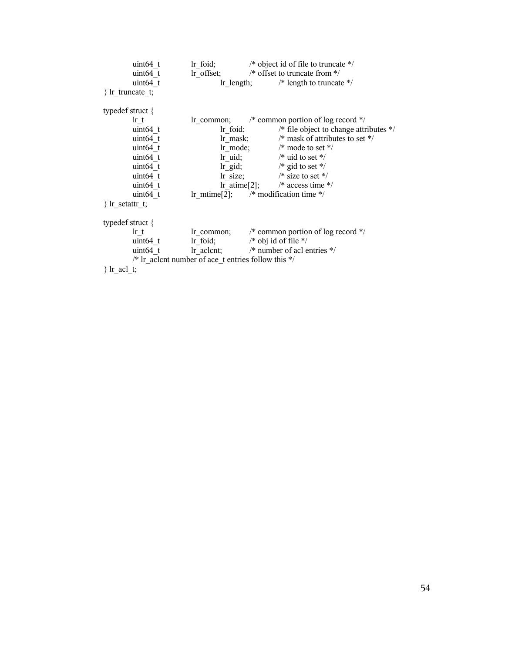|                     | uint $64$ t |                                                                             |             | Ir foid; $/*$ object id of file to truncate $*/$                                   |
|---------------------|-------------|-----------------------------------------------------------------------------|-------------|------------------------------------------------------------------------------------|
|                     | $uint64$ t  |                                                                             |             | In offset; $/*$ offset to truncate from $*/$                                       |
|                     | uint64 t    |                                                                             |             | Ir length; $/*$ length to truncate $*/$                                            |
| $\}$ Ir truncate t; |             |                                                                             |             |                                                                                    |
| typedef struct $\{$ |             |                                                                             |             |                                                                                    |
|                     | $\ln t$     |                                                                             |             | In common; $\frac{\pi}{2}$ common portion of log record $\frac{\pi}{2}$            |
|                     | uint64 t    |                                                                             | $\ln$ foid; | /* file object to change attributes $*/$                                           |
|                     | uint64 t    |                                                                             |             | Ir mask; $/*$ mask of attributes to set $*/$                                       |
|                     | uint64 t    |                                                                             |             | $\ln \mod 2$ ; $\frac{1}{2}$ mode to set */                                        |
|                     | uint64 t    |                                                                             |             | $\ln \left( \frac{1}{2} \right)$ /* uid to set */                                  |
|                     | uint64 t    |                                                                             |             | $\ln \text{gid}$ ; /* gid to set */                                                |
|                     | uint64 t    |                                                                             |             | $\ln$ size; /* size to set */                                                      |
|                     | uint64 t    |                                                                             |             | $\text{lr\_atime}[2];$ /* access time */                                           |
|                     | uint64 t    | Ir mtime[2]; $\frac{1}{2}$ modification time */                             |             |                                                                                    |
| $\}$ lr_setattr t;  |             |                                                                             |             |                                                                                    |
| typedef struct $\{$ |             |                                                                             |             |                                                                                    |
|                     | $\ln t$     |                                                                             |             | Ir common; $\frac{1}{2}$ common portion of log record $\frac{1}{2}$                |
|                     |             | uint64 t $\qquad$ Ir foid; $\qquad$ $\qquad$ t obj id of file $\frac{*}{ }$ |             |                                                                                    |
|                     |             |                                                                             |             | uint64_t $\text{lr}\text{ }$ aclent; $\text{lr}\text{ }$ * number of aclentries */ |
|                     |             | /* Ir aclent number of ace t entries follow this $*/$                       |             |                                                                                    |
| $\}$ lr acl t;      |             |                                                                             |             |                                                                                    |